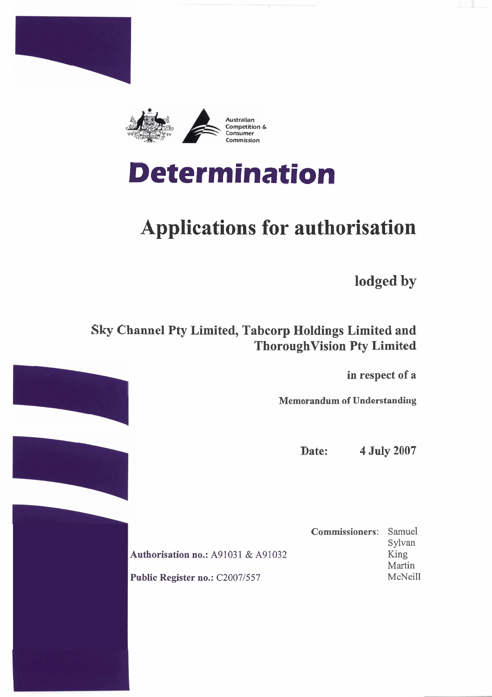



# **Determination**

# **Applications for authorisation**

**lodged by** 

## **Sky Channel Pty Limited, Tabcorp Holdings Limited and ThoroughVision Pty Limited**

**in respect of a** 

**Memorandum of Understanding** 

**Date: 4 July 2007** 

**Authorisation no.: A91031 & A91032** Public Register no.: C2007/557

**Commissioners:** Samuel Sylvan **King**  Martin McNeill

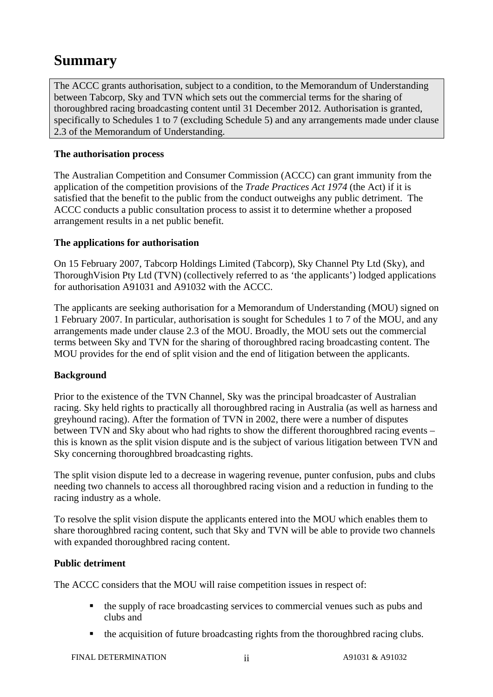# **Summary**

The ACCC grants authorisation, subject to a condition, to the Memorandum of Understanding between Tabcorp, Sky and TVN which sets out the commercial terms for the sharing of thoroughbred racing broadcasting content until 31 December 2012. Authorisation is granted, specifically to Schedules 1 to 7 (excluding Schedule 5) and any arrangements made under clause 2.3 of the Memorandum of Understanding.

#### **The authorisation process**

The Australian Competition and Consumer Commission (ACCC) can grant immunity from the application of the competition provisions of the *Trade Practices Act 1974* (the Act) if it is satisfied that the benefit to the public from the conduct outweighs any public detriment. The ACCC conducts a public consultation process to assist it to determine whether a proposed arrangement results in a net public benefit.

#### **The applications for authorisation**

On 15 February 2007, Tabcorp Holdings Limited (Tabcorp), Sky Channel Pty Ltd (Sky), and ThoroughVision Pty Ltd (TVN) (collectively referred to as 'the applicants') lodged applications for authorisation A91031 and A91032 with the ACCC.

The applicants are seeking authorisation for a Memorandum of Understanding (MOU) signed on 1 February 2007. In particular, authorisation is sought for Schedules 1 to 7 of the MOU, and any arrangements made under clause 2.3 of the MOU. Broadly, the MOU sets out the commercial terms between Sky and TVN for the sharing of thoroughbred racing broadcasting content. The MOU provides for the end of split vision and the end of litigation between the applicants.

#### **Background**

Prior to the existence of the TVN Channel, Sky was the principal broadcaster of Australian racing. Sky held rights to practically all thoroughbred racing in Australia (as well as harness and greyhound racing). After the formation of TVN in 2002, there were a number of disputes between TVN and Sky about who had rights to show the different thoroughbred racing events – this is known as the split vision dispute and is the subject of various litigation between TVN and Sky concerning thoroughbred broadcasting rights.

The split vision dispute led to a decrease in wagering revenue, punter confusion, pubs and clubs needing two channels to access all thoroughbred racing vision and a reduction in funding to the racing industry as a whole.

To resolve the split vision dispute the applicants entered into the MOU which enables them to share thoroughbred racing content, such that Sky and TVN will be able to provide two channels with expanded thoroughbred racing content.

#### **Public detriment**

The ACCC considers that the MOU will raise competition issues in respect of:

- the supply of race broadcasting services to commercial venues such as pubs and clubs and
- the acquisition of future broadcasting rights from the thoroughbred racing clubs.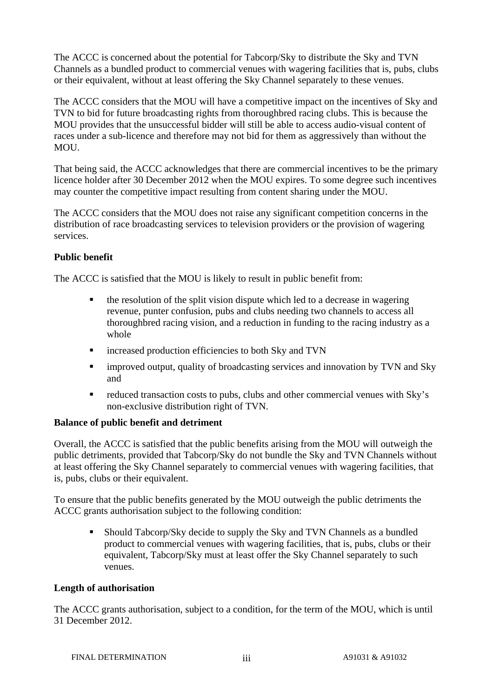The ACCC is concerned about the potential for Tabcorp/Sky to distribute the Sky and TVN Channels as a bundled product to commercial venues with wagering facilities that is, pubs, clubs or their equivalent, without at least offering the Sky Channel separately to these venues.

The ACCC considers that the MOU will have a competitive impact on the incentives of Sky and TVN to bid for future broadcasting rights from thoroughbred racing clubs. This is because the MOU provides that the unsuccessful bidder will still be able to access audio-visual content of races under a sub-licence and therefore may not bid for them as aggressively than without the MOU.

That being said, the ACCC acknowledges that there are commercial incentives to be the primary licence holder after 30 December 2012 when the MOU expires. To some degree such incentives may counter the competitive impact resulting from content sharing under the MOU.

The ACCC considers that the MOU does not raise any significant competition concerns in the distribution of race broadcasting services to television providers or the provision of wagering services.

#### **Public benefit**

The ACCC is satisfied that the MOU is likely to result in public benefit from:

- the resolution of the split vision dispute which led to a decrease in wagering revenue, punter confusion, pubs and clubs needing two channels to access all thoroughbred racing vision, and a reduction in funding to the racing industry as a whole
- increased production efficiencies to both Sky and TVN
- **EXECUTE:** improved output, quality of broadcasting services and innovation by TVN and Sky and
- reduced transaction costs to pubs, clubs and other commercial venues with Sky's non-exclusive distribution right of TVN.

#### **Balance of public benefit and detriment**

Overall, the ACCC is satisfied that the public benefits arising from the MOU will outweigh the public detriments, provided that Tabcorp/Sky do not bundle the Sky and TVN Channels without at least offering the Sky Channel separately to commercial venues with wagering facilities, that is, pubs, clubs or their equivalent.

To ensure that the public benefits generated by the MOU outweigh the public detriments the ACCC grants authorisation subject to the following condition:

 Should Tabcorp/Sky decide to supply the Sky and TVN Channels as a bundled product to commercial venues with wagering facilities, that is, pubs, clubs or their equivalent, Tabcorp/Sky must at least offer the Sky Channel separately to such venues.

#### **Length of authorisation**

The ACCC grants authorisation, subject to a condition, for the term of the MOU, which is until 31 December 2012.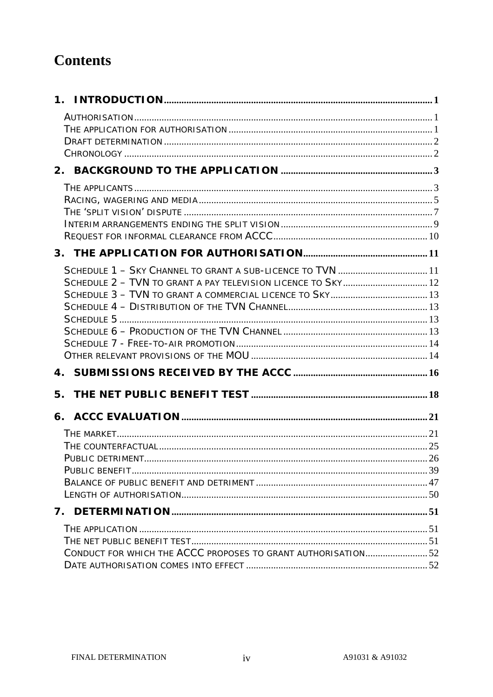# **Contents**

| SCHEDULE 1 - SKY CHANNEL TO GRANT A SUB-LICENCE TO TVN  11   |  |
|--------------------------------------------------------------|--|
| SCHEDULE 2 - TVN TO GRANT A PAY TELEVISION LICENCE TO SKY 12 |  |
|                                                              |  |
|                                                              |  |
|                                                              |  |
|                                                              |  |
|                                                              |  |
|                                                              |  |
|                                                              |  |
| 5.                                                           |  |
|                                                              |  |
|                                                              |  |
|                                                              |  |
|                                                              |  |
|                                                              |  |
|                                                              |  |
|                                                              |  |
|                                                              |  |
|                                                              |  |
| CONDUCT FOR WHICH THE ACCC PROPOSES TO GRANT AUTHORISATION52 |  |
|                                                              |  |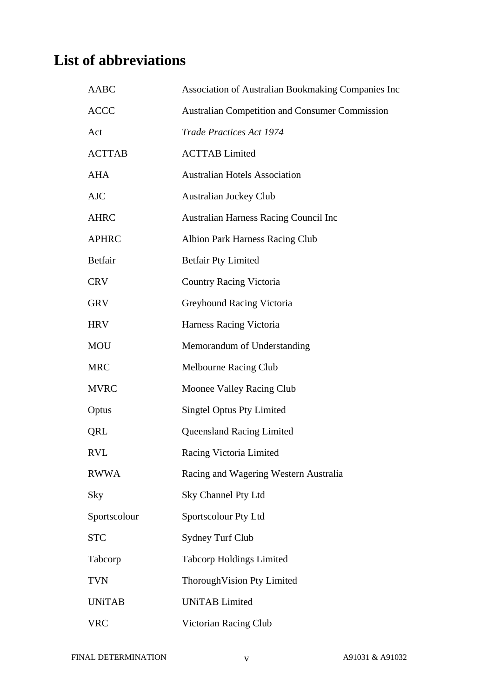# **List of abbreviations**

| <b>AABC</b>   | Association of Australian Bookmaking Companies Inc    |
|---------------|-------------------------------------------------------|
| <b>ACCC</b>   | <b>Australian Competition and Consumer Commission</b> |
| Act           | <b>Trade Practices Act 1974</b>                       |
| <b>ACTTAB</b> | <b>ACTTAB</b> Limited                                 |
| <b>AHA</b>    | <b>Australian Hotels Association</b>                  |
| <b>AJC</b>    | <b>Australian Jockey Club</b>                         |
| <b>AHRC</b>   | <b>Australian Harness Racing Council Inc</b>          |
| <b>APHRC</b>  | <b>Albion Park Harness Racing Club</b>                |
| Betfair       | <b>Betfair Pty Limited</b>                            |
| <b>CRV</b>    | <b>Country Racing Victoria</b>                        |
| <b>GRV</b>    | Greyhound Racing Victoria                             |
| <b>HRV</b>    | Harness Racing Victoria                               |
| <b>MOU</b>    | Memorandum of Understanding                           |
| <b>MRC</b>    | Melbourne Racing Club                                 |
| <b>MVRC</b>   | Moonee Valley Racing Club                             |
| Optus         | <b>Singtel Optus Pty Limited</b>                      |
| QRL           | <b>Queensland Racing Limited</b>                      |
| <b>RVL</b>    | Racing Victoria Limited                               |
| <b>RWWA</b>   | Racing and Wagering Western Australia                 |
| Sky           | Sky Channel Pty Ltd                                   |
| Sportscolour  | Sportscolour Pty Ltd                                  |
| <b>STC</b>    | <b>Sydney Turf Club</b>                               |
| Tabcorp       | <b>Tabcorp Holdings Limited</b>                       |
| <b>TVN</b>    | Thorough Vision Pty Limited                           |
| <b>UNiTAB</b> | <b>UNiTAB</b> Limited                                 |
| <b>VRC</b>    | Victorian Racing Club                                 |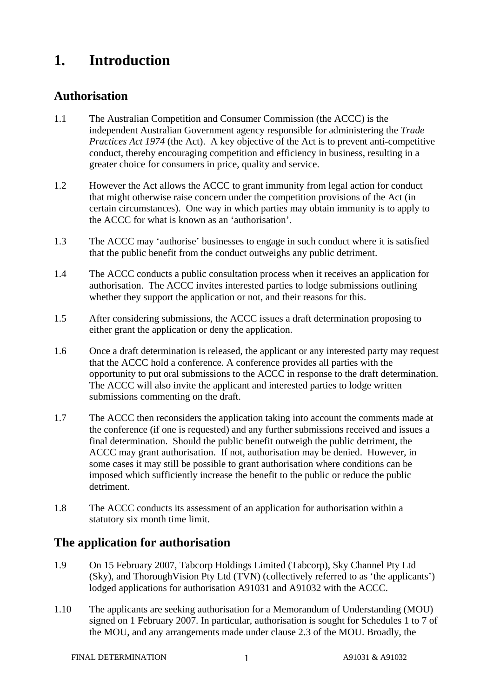## **1. Introduction**

### **Authorisation**

- 1.1 The Australian Competition and Consumer Commission (the ACCC) is the independent Australian Government agency responsible for administering the *Trade Practices Act 1974* (the Act). A key objective of the Act is to prevent anti-competitive conduct, thereby encouraging competition and efficiency in business, resulting in a greater choice for consumers in price, quality and service.
- 1.2 However the Act allows the ACCC to grant immunity from legal action for conduct that might otherwise raise concern under the competition provisions of the Act (in certain circumstances). One way in which parties may obtain immunity is to apply to the ACCC for what is known as an 'authorisation'.
- 1.3 The ACCC may 'authorise' businesses to engage in such conduct where it is satisfied that the public benefit from the conduct outweighs any public detriment.
- 1.4 The ACCC conducts a public consultation process when it receives an application for authorisation. The ACCC invites interested parties to lodge submissions outlining whether they support the application or not, and their reasons for this.
- 1.5 After considering submissions, the ACCC issues a draft determination proposing to either grant the application or deny the application.
- 1.6 Once a draft determination is released, the applicant or any interested party may request that the ACCC hold a conference. A conference provides all parties with the opportunity to put oral submissions to the ACCC in response to the draft determination. The ACCC will also invite the applicant and interested parties to lodge written submissions commenting on the draft.
- 1.7 The ACCC then reconsiders the application taking into account the comments made at the conference (if one is requested) and any further submissions received and issues a final determination. Should the public benefit outweigh the public detriment, the ACCC may grant authorisation. If not, authorisation may be denied. However, in some cases it may still be possible to grant authorisation where conditions can be imposed which sufficiently increase the benefit to the public or reduce the public detriment.
- 1.8 The ACCC conducts its assessment of an application for authorisation within a statutory six month time limit.

### **The application for authorisation**

- 1.9 On 15 February 2007, Tabcorp Holdings Limited (Tabcorp), Sky Channel Pty Ltd (Sky), and ThoroughVision Pty Ltd (TVN) (collectively referred to as 'the applicants') lodged applications for authorisation A91031 and A91032 with the ACCC.
- 1.10 The applicants are seeking authorisation for a Memorandum of Understanding (MOU) signed on 1 February 2007. In particular, authorisation is sought for Schedules 1 to 7 of the MOU, and any arrangements made under clause 2.3 of the MOU. Broadly, the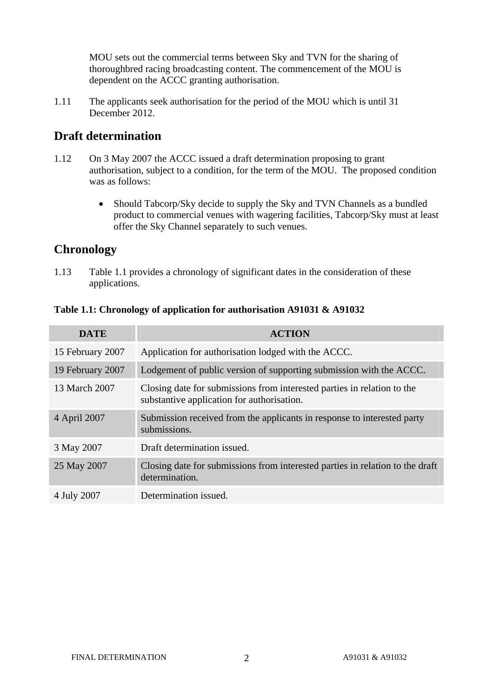MOU sets out the commercial terms between Sky and TVN for the sharing of thoroughbred racing broadcasting content. The commencement of the MOU is dependent on the ACCC granting authorisation.

1.11 The applicants seek authorisation for the period of the MOU which is until 31 December 2012.

### **Draft determination**

- 1.12 On 3 May 2007 the ACCC issued a draft determination proposing to grant authorisation, subject to a condition, for the term of the MOU. The proposed condition was as follows:
	- Should Tabcorp/Sky decide to supply the Sky and TVN Channels as a bundled product to commercial venues with wagering facilities, Tabcorp/Sky must at least offer the Sky Channel separately to such venues.

### **Chronology**

1.13 Table 1.1 provides a chronology of significant dates in the consideration of these applications.

| <b>DATE</b>      | <b>ACTION</b>                                                                                                         |
|------------------|-----------------------------------------------------------------------------------------------------------------------|
| 15 February 2007 | Application for authorisation lodged with the ACCC.                                                                   |
| 19 February 2007 | Lodgement of public version of supporting submission with the ACCC.                                                   |
| 13 March 2007    | Closing date for submissions from interested parties in relation to the<br>substantive application for authorisation. |
| 4 April 2007     | Submission received from the applicants in response to interested party<br>submissions.                               |
| 3 May 2007       | Draft determination issued.                                                                                           |
| 25 May 2007      | Closing date for submissions from interested parties in relation to the draft<br>determination.                       |
| 4 July 2007      | Determination issued.                                                                                                 |

#### **Table 1.1: Chronology of application for authorisation A91031 & A91032**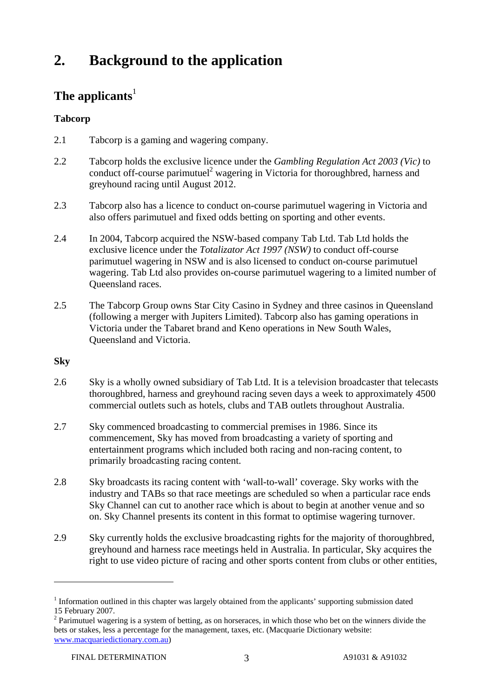# **2. Background to the application**

### The applicants<sup>1</sup>

### **Tabcorp**

- 2.1 Tabcorp is a gaming and wagering company.
- 2.2 Tabcorp holds the exclusive licence under the *Gambling Regulation Act 2003 (Vic)* to conduct off-course parimutuel<sup>2</sup> wagering in Victoria for thoroughbred, harness and greyhound racing until August 2012.
- 2.3 Tabcorp also has a licence to conduct on-course parimutuel wagering in Victoria and also offers parimutuel and fixed odds betting on sporting and other events.
- 2.4 In 2004, Tabcorp acquired the NSW-based company Tab Ltd. Tab Ltd holds the exclusive licence under the *Totalizator Act 1997 (NSW)* to conduct off-course parimutuel wagering in NSW and is also licensed to conduct on-course parimutuel wagering. Tab Ltd also provides on-course parimutuel wagering to a limited number of Queensland races.
- 2.5 The Tabcorp Group owns Star City Casino in Sydney and three casinos in Queensland (following a merger with Jupiters Limited). Tabcorp also has gaming operations in Victoria under the Tabaret brand and Keno operations in New South Wales, Queensland and Victoria.

#### **Sky**

- 2.6 Sky is a wholly owned subsidiary of Tab Ltd. It is a television broadcaster that telecasts thoroughbred, harness and greyhound racing seven days a week to approximately 4500 commercial outlets such as hotels, clubs and TAB outlets throughout Australia.
- 2.7 Sky commenced broadcasting to commercial premises in 1986. Since its commencement, Sky has moved from broadcasting a variety of sporting and entertainment programs which included both racing and non-racing content, to primarily broadcasting racing content.
- 2.8 Sky broadcasts its racing content with 'wall-to-wall' coverage. Sky works with the industry and TABs so that race meetings are scheduled so when a particular race ends Sky Channel can cut to another race which is about to begin at another venue and so on. Sky Channel presents its content in this format to optimise wagering turnover.
- 2.9 Sky currently holds the exclusive broadcasting rights for the majority of thoroughbred, greyhound and harness race meetings held in Australia. In particular, Sky acquires the right to use video picture of racing and other sports content from clubs or other entities,

<sup>&</sup>lt;sup>1</sup> Information outlined in this chapter was largely obtained from the applicants' supporting submission dated 15 February 2007.

 $2$  Parimutuel wagering is a system of betting, as on horseraces, in which those who bet on the winners divide the bets or stakes, less a percentage for the management, taxes, etc. (Macquarie Dictionary website: www.macquariedictionary.com.au)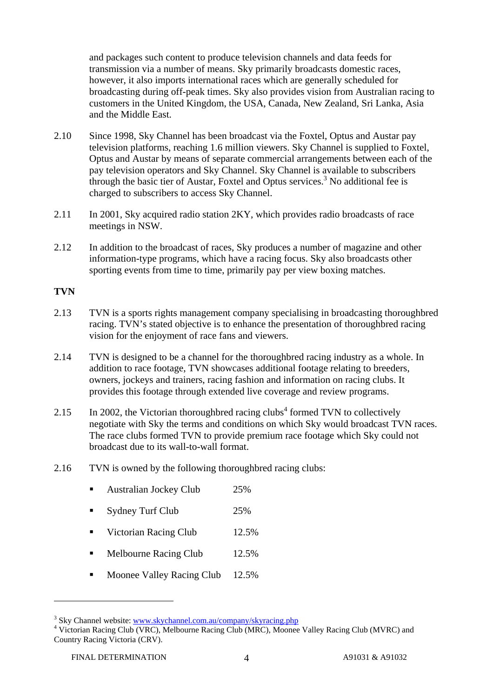and packages such content to produce television channels and data feeds for transmission via a number of means. Sky primarily broadcasts domestic races, however, it also imports international races which are generally scheduled for broadcasting during off-peak times. Sky also provides vision from Australian racing to customers in the United Kingdom, the USA, Canada, New Zealand, Sri Lanka, Asia and the Middle East.

- 2.10 Since 1998, Sky Channel has been broadcast via the Foxtel, Optus and Austar pay television platforms, reaching 1.6 million viewers. Sky Channel is supplied to Foxtel, Optus and Austar by means of separate commercial arrangements between each of the pay television operators and Sky Channel. Sky Channel is available to subscribers through the basic tier of Austar, Foxtel and Optus services.<sup>3</sup> No additional fee is charged to subscribers to access Sky Channel.
- 2.11 In 2001, Sky acquired radio station 2KY, which provides radio broadcasts of race meetings in NSW.
- 2.12 In addition to the broadcast of races, Sky produces a number of magazine and other information-type programs, which have a racing focus. Sky also broadcasts other sporting events from time to time, primarily pay per view boxing matches.

#### **TVN**

- 2.13 TVN is a sports rights management company specialising in broadcasting thoroughbred racing. TVN's stated objective is to enhance the presentation of thoroughbred racing vision for the enjoyment of race fans and viewers.
- 2.14 TVN is designed to be a channel for the thoroughbred racing industry as a whole. In addition to race footage, TVN showcases additional footage relating to breeders, owners, jockeys and trainers, racing fashion and information on racing clubs. It provides this footage through extended live coverage and review programs.
- 2.15 In 2002, the Victorian thoroughbred racing clubs<sup>4</sup> formed TVN to collectively negotiate with Sky the terms and conditions on which Sky would broadcast TVN races. The race clubs formed TVN to provide premium race footage which Sky could not broadcast due to its wall-to-wall format.
- 2.16 TVN is owned by the following thoroughbred racing clubs:
	- Australian Jockey Club 25%
	- Sydney Turf Club 25%
	- Victorian Racing Club 12.5%
	- Melbourne Racing Club 12.5%
	- Moonee Valley Racing Club 12.5%

<sup>&</sup>lt;sup>3</sup> Sky Channel website: www.skychannel.com.au/company/skyracing.php  $\frac{4 \text{ V} \cdot \text{V}}{4 \text{ V} \cdot \text{V}}$ 

<sup>&</sup>lt;sup>4</sup> Victorian Racing Club (VRC), Melbourne Racing Club (MRC), Moonee Valley Racing Club (MVRC) and Country Racing Victoria (CRV).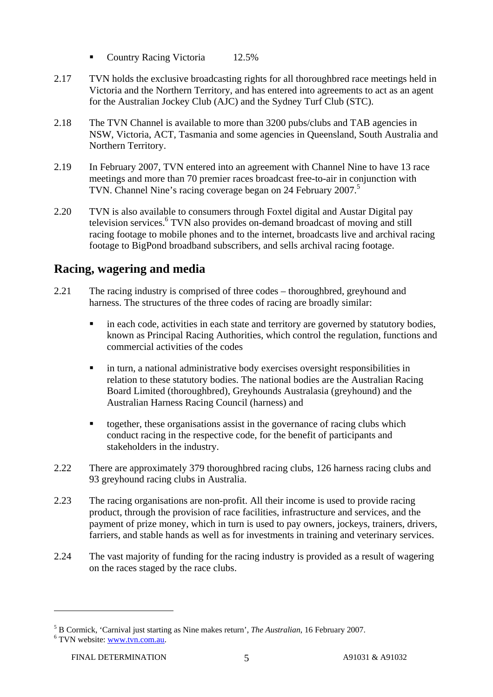- Country Racing Victoria 12.5%
- 2.17 TVN holds the exclusive broadcasting rights for all thoroughbred race meetings held in Victoria and the Northern Territory, and has entered into agreements to act as an agent for the Australian Jockey Club (AJC) and the Sydney Turf Club (STC).
- 2.18 The TVN Channel is available to more than 3200 pubs/clubs and TAB agencies in NSW, Victoria, ACT, Tasmania and some agencies in Queensland, South Australia and Northern Territory.
- 2.19 In February 2007, TVN entered into an agreement with Channel Nine to have 13 race meetings and more than 70 premier races broadcast free-to-air in conjunction with TVN. Channel Nine's racing coverage began on 24 February 2007.<sup>5</sup>
- 2.20 TVN is also available to consumers through Foxtel digital and Austar Digital pay television services.<sup>6</sup> TVN also provides on-demand broadcast of moving and still racing footage to mobile phones and to the internet, broadcasts live and archival racing footage to BigPond broadband subscribers, and sells archival racing footage.

### **Racing, wagering and media**

- 2.21 The racing industry is comprised of three codes thoroughbred, greyhound and harness. The structures of the three codes of racing are broadly similar:
	- **i** in each code, activities in each state and territory are governed by statutory bodies, known as Principal Racing Authorities, which control the regulation, functions and commercial activities of the codes
	- in turn, a national administrative body exercises oversight responsibilities in relation to these statutory bodies. The national bodies are the Australian Racing Board Limited (thoroughbred), Greyhounds Australasia (greyhound) and the Australian Harness Racing Council (harness) and
	- together, these organisations assist in the governance of racing clubs which conduct racing in the respective code, for the benefit of participants and stakeholders in the industry.
- 2.22 There are approximately 379 thoroughbred racing clubs, 126 harness racing clubs and 93 greyhound racing clubs in Australia.
- 2.23 The racing organisations are non-profit. All their income is used to provide racing product, through the provision of race facilities, infrastructure and services, and the payment of prize money, which in turn is used to pay owners, jockeys, trainers, drivers, farriers, and stable hands as well as for investments in training and veterinary services.
- 2.24 The vast majority of funding for the racing industry is provided as a result of wagering on the races staged by the race clubs.

 $^5$  B Cormick, 'Carnival just starting as Nine makes return', *The Australian*, 16 February 2007.

<sup>&</sup>lt;sup>6</sup> TVN website: www.tvn.com.au.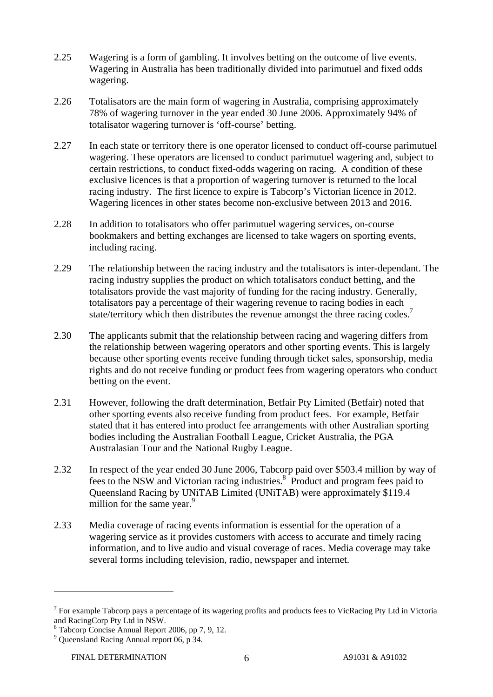- 2.25 Wagering is a form of gambling. It involves betting on the outcome of live events. Wagering in Australia has been traditionally divided into parimutuel and fixed odds wagering.
- 2.26 Totalisators are the main form of wagering in Australia, comprising approximately 78% of wagering turnover in the year ended 30 June 2006. Approximately 94% of totalisator wagering turnover is 'off-course' betting.
- 2.27 In each state or territory there is one operator licensed to conduct off-course parimutuel wagering. These operators are licensed to conduct parimutuel wagering and, subject to certain restrictions, to conduct fixed-odds wagering on racing. A condition of these exclusive licences is that a proportion of wagering turnover is returned to the local racing industry. The first licence to expire is Tabcorp's Victorian licence in 2012. Wagering licences in other states become non-exclusive between 2013 and 2016.
- 2.28 In addition to totalisators who offer parimutuel wagering services, on-course bookmakers and betting exchanges are licensed to take wagers on sporting events, including racing.
- 2.29 The relationship between the racing industry and the totalisators is inter-dependant. The racing industry supplies the product on which totalisators conduct betting, and the totalisators provide the vast majority of funding for the racing industry. Generally, totalisators pay a percentage of their wagering revenue to racing bodies in each state/territory which then distributes the revenue amongst the three racing codes.<sup>7</sup>
- 2.30 The applicants submit that the relationship between racing and wagering differs from the relationship between wagering operators and other sporting events. This is largely because other sporting events receive funding through ticket sales, sponsorship, media rights and do not receive funding or product fees from wagering operators who conduct betting on the event.
- 2.31 However, following the draft determination, Betfair Pty Limited (Betfair) noted that other sporting events also receive funding from product fees. For example, Betfair stated that it has entered into product fee arrangements with other Australian sporting bodies including the Australian Football League, Cricket Australia, the PGA Australasian Tour and the National Rugby League.
- 2.32 In respect of the year ended 30 June 2006, Tabcorp paid over \$503.4 million by way of fees to the NSW and Victorian racing industries.<sup>8</sup> Product and program fees paid to Queensland Racing by UNiTAB Limited (UNiTAB) were approximately \$119.4 million for the same year.<sup>9</sup>
- 2.33 Media coverage of racing events information is essential for the operation of a wagering service as it provides customers with access to accurate and timely racing information, and to live audio and visual coverage of races. Media coverage may take several forms including television, radio, newspaper and internet.

<sup>&</sup>lt;sup>7</sup> For example Tabcorp pays a percentage of its wagering profits and products fees to VicRacing Pty Ltd in Victoria and RacingCorp Pty Ltd in NSW.

<sup>8</sup> Tabcorp Concise Annual Report 2006, pp 7, 9, 12.

<sup>&</sup>lt;sup>9</sup> Queensland Racing Annual report 06, p 34.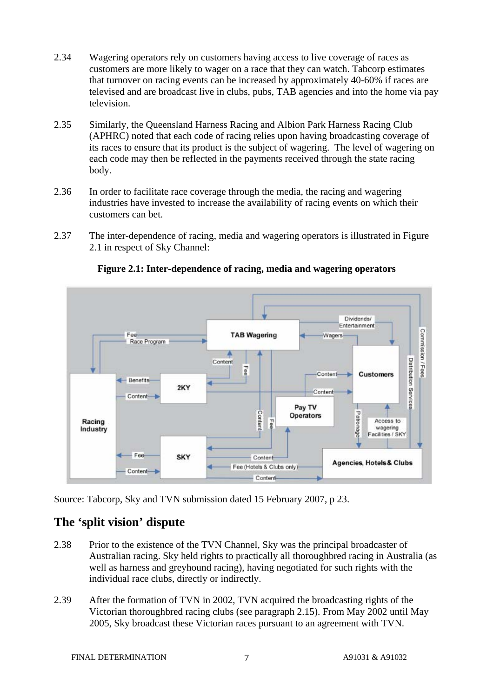- 2.34 Wagering operators rely on customers having access to live coverage of races as customers are more likely to wager on a race that they can watch. Tabcorp estimates that turnover on racing events can be increased by approximately 40-60% if races are televised and are broadcast live in clubs, pubs, TAB agencies and into the home via pay television.
- 2.35 Similarly, the Queensland Harness Racing and Albion Park Harness Racing Club (APHRC) noted that each code of racing relies upon having broadcasting coverage of its races to ensure that its product is the subject of wagering. The level of wagering on each code may then be reflected in the payments received through the state racing body.
- 2.36 In order to facilitate race coverage through the media, the racing and wagering industries have invested to increase the availability of racing events on which their customers can bet.
- 2.37 The inter-dependence of racing, media and wagering operators is illustrated in Figure 2.1 in respect of Sky Channel:



**Figure 2.1: Inter-dependence of racing, media and wagering operators** 

Source: Tabcorp, Sky and TVN submission dated 15 February 2007, p 23.

### **The 'split vision' dispute**

- 2.38 Prior to the existence of the TVN Channel, Sky was the principal broadcaster of Australian racing. Sky held rights to practically all thoroughbred racing in Australia (as well as harness and greyhound racing), having negotiated for such rights with the individual race clubs, directly or indirectly.
- 2.39 After the formation of TVN in 2002, TVN acquired the broadcasting rights of the Victorian thoroughbred racing clubs (see paragraph 2.15). From May 2002 until May 2005, Sky broadcast these Victorian races pursuant to an agreement with TVN.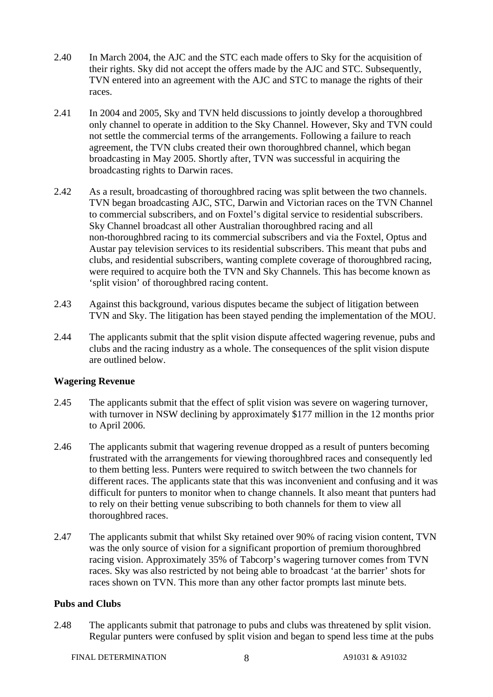- 2.40 In March 2004, the AJC and the STC each made offers to Sky for the acquisition of their rights. Sky did not accept the offers made by the AJC and STC. Subsequently, TVN entered into an agreement with the AJC and STC to manage the rights of their races.
- 2.41 In 2004 and 2005, Sky and TVN held discussions to jointly develop a thoroughbred only channel to operate in addition to the Sky Channel. However, Sky and TVN could not settle the commercial terms of the arrangements. Following a failure to reach agreement, the TVN clubs created their own thoroughbred channel, which began broadcasting in May 2005. Shortly after, TVN was successful in acquiring the broadcasting rights to Darwin races.
- 2.42 As a result, broadcasting of thoroughbred racing was split between the two channels. TVN began broadcasting AJC, STC, Darwin and Victorian races on the TVN Channel to commercial subscribers, and on Foxtel's digital service to residential subscribers. Sky Channel broadcast all other Australian thoroughbred racing and all non-thoroughbred racing to its commercial subscribers and via the Foxtel, Optus and Austar pay television services to its residential subscribers. This meant that pubs and clubs, and residential subscribers, wanting complete coverage of thoroughbred racing, were required to acquire both the TVN and Sky Channels. This has become known as 'split vision' of thoroughbred racing content.
- 2.43 Against this background, various disputes became the subject of litigation between TVN and Sky. The litigation has been stayed pending the implementation of the MOU.
- 2.44 The applicants submit that the split vision dispute affected wagering revenue, pubs and clubs and the racing industry as a whole. The consequences of the split vision dispute are outlined below.

#### **Wagering Revenue**

- 2.45 The applicants submit that the effect of split vision was severe on wagering turnover, with turnover in NSW declining by approximately \$177 million in the 12 months prior to April 2006.
- 2.46 The applicants submit that wagering revenue dropped as a result of punters becoming frustrated with the arrangements for viewing thoroughbred races and consequently led to them betting less. Punters were required to switch between the two channels for different races. The applicants state that this was inconvenient and confusing and it was difficult for punters to monitor when to change channels. It also meant that punters had to rely on their betting venue subscribing to both channels for them to view all thoroughbred races.
- 2.47 The applicants submit that whilst Sky retained over 90% of racing vision content, TVN was the only source of vision for a significant proportion of premium thoroughbred racing vision. Approximately 35% of Tabcorp's wagering turnover comes from TVN races. Sky was also restricted by not being able to broadcast 'at the barrier' shots for races shown on TVN. This more than any other factor prompts last minute bets.

#### **Pubs and Clubs**

2.48 The applicants submit that patronage to pubs and clubs was threatened by split vision. Regular punters were confused by split vision and began to spend less time at the pubs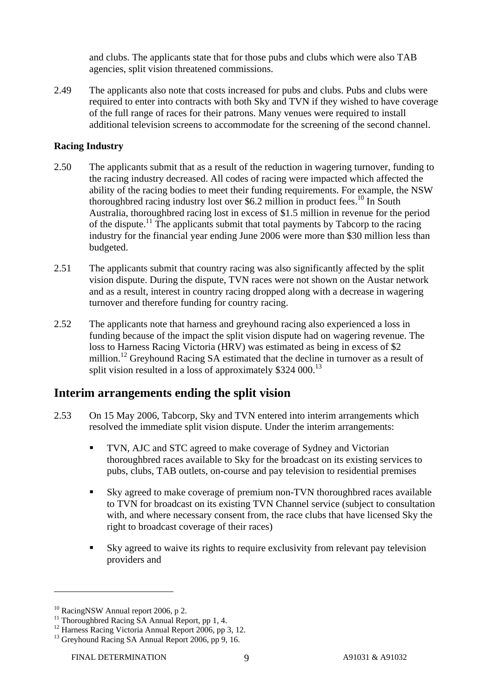and clubs. The applicants state that for those pubs and clubs which were also TAB agencies, split vision threatened commissions.

2.49 The applicants also note that costs increased for pubs and clubs. Pubs and clubs were required to enter into contracts with both Sky and TVN if they wished to have coverage of the full range of races for their patrons. Many venues were required to install additional television screens to accommodate for the screening of the second channel.

#### **Racing Industry**

- 2.50 The applicants submit that as a result of the reduction in wagering turnover, funding to the racing industry decreased. All codes of racing were impacted which affected the ability of the racing bodies to meet their funding requirements. For example, the NSW thoroughbred racing industry lost over \$6.2 million in product fees.<sup>10</sup> In South Australia, thoroughbred racing lost in excess of \$1.5 million in revenue for the period of the dispute.<sup>11</sup> The applicants submit that total payments by Tabcorp to the racing industry for the financial year ending June 2006 were more than \$30 million less than budgeted.
- 2.51 The applicants submit that country racing was also significantly affected by the split vision dispute. During the dispute, TVN races were not shown on the Austar network and as a result, interest in country racing dropped along with a decrease in wagering turnover and therefore funding for country racing.
- 2.52 The applicants note that harness and greyhound racing also experienced a loss in funding because of the impact the split vision dispute had on wagering revenue. The loss to Harness Racing Victoria (HRV) was estimated as being in excess of \$2 million.<sup>12</sup> Greyhound Racing SA estimated that the decline in turnover as a result of split vision resulted in a loss of approximately  $$324,000$ <sup>13</sup>

### **Interim arrangements ending the split vision**

- 2.53 On 15 May 2006, Tabcorp, Sky and TVN entered into interim arrangements which resolved the immediate split vision dispute. Under the interim arrangements:
	- TVN, AJC and STC agreed to make coverage of Sydney and Victorian thoroughbred races available to Sky for the broadcast on its existing services to pubs, clubs, TAB outlets, on-course and pay television to residential premises
	- Sky agreed to make coverage of premium non-TVN thoroughbred races available to TVN for broadcast on its existing TVN Channel service (subject to consultation with, and where necessary consent from, the race clubs that have licensed Sky the right to broadcast coverage of their races)
	- Sky agreed to waive its rights to require exclusivity from relevant pay television providers and

<sup>&</sup>lt;sup>10</sup> RacingNSW Annual report 2006, p 2.

<sup>&</sup>lt;sup>11</sup> Thoroughbred Racing SA Annual Report, pp 1, 4.

<sup>&</sup>lt;sup>12</sup> Harness Racing Victoria Annual Report 2006, pp 3, 12.

<sup>&</sup>lt;sup>13</sup> Greyhound Racing SA Annual Report 2006, pp 9, 16.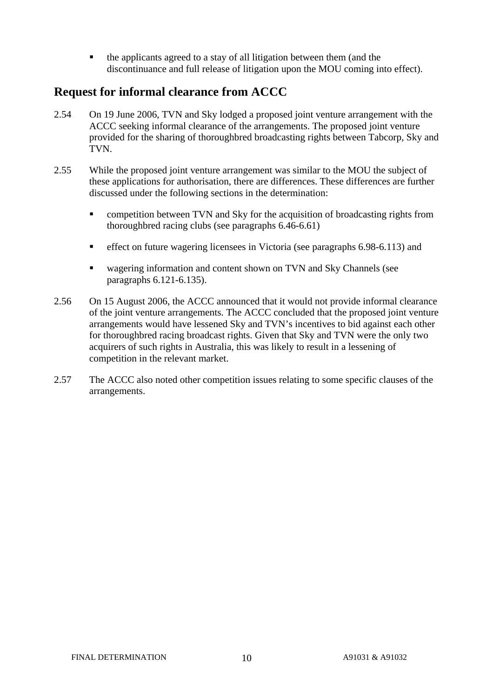the applicants agreed to a stay of all litigation between them (and the discontinuance and full release of litigation upon the MOU coming into effect).

### **Request for informal clearance from ACCC**

- 2.54 On 19 June 2006, TVN and Sky lodged a proposed joint venture arrangement with the ACCC seeking informal clearance of the arrangements. The proposed joint venture provided for the sharing of thoroughbred broadcasting rights between Tabcorp, Sky and TVN.
- 2.55 While the proposed joint venture arrangement was similar to the MOU the subject of these applications for authorisation, there are differences. These differences are further discussed under the following sections in the determination:
	- competition between TVN and Sky for the acquisition of broadcasting rights from thoroughbred racing clubs (see paragraphs 6.46-6.61)
	- effect on future wagering licensees in Victoria (see paragraphs 6.98-6.113) and
	- wagering information and content shown on TVN and Sky Channels (see paragraphs 6.121-6.135).
- 2.56 On 15 August 2006, the ACCC announced that it would not provide informal clearance of the joint venture arrangements. The ACCC concluded that the proposed joint venture arrangements would have lessened Sky and TVN's incentives to bid against each other for thoroughbred racing broadcast rights. Given that Sky and TVN were the only two acquirers of such rights in Australia, this was likely to result in a lessening of competition in the relevant market.
- 2.57 The ACCC also noted other competition issues relating to some specific clauses of the arrangements.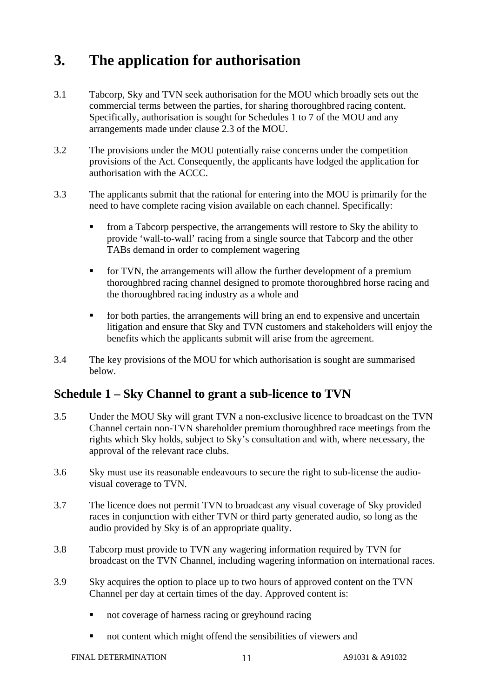# **3. The application for authorisation**

- 3.1 Tabcorp, Sky and TVN seek authorisation for the MOU which broadly sets out the commercial terms between the parties, for sharing thoroughbred racing content. Specifically, authorisation is sought for Schedules 1 to 7 of the MOU and any arrangements made under clause 2.3 of the MOU.
- 3.2 The provisions under the MOU potentially raise concerns under the competition provisions of the Act. Consequently, the applicants have lodged the application for authorisation with the ACCC.
- 3.3 The applicants submit that the rational for entering into the MOU is primarily for the need to have complete racing vision available on each channel. Specifically:
	- from a Tabcorp perspective, the arrangements will restore to Sky the ability to provide 'wall-to-wall' racing from a single source that Tabcorp and the other TABs demand in order to complement wagering
	- for TVN, the arrangements will allow the further development of a premium thoroughbred racing channel designed to promote thoroughbred horse racing and the thoroughbred racing industry as a whole and
	- for both parties, the arrangements will bring an end to expensive and uncertain litigation and ensure that Sky and TVN customers and stakeholders will enjoy the benefits which the applicants submit will arise from the agreement.
- 3.4 The key provisions of the MOU for which authorisation is sought are summarised below.

### **Schedule 1 – Sky Channel to grant a sub-licence to TVN**

- 3.5 Under the MOU Sky will grant TVN a non-exclusive licence to broadcast on the TVN Channel certain non-TVN shareholder premium thoroughbred race meetings from the rights which Sky holds, subject to Sky's consultation and with, where necessary, the approval of the relevant race clubs.
- 3.6 Sky must use its reasonable endeavours to secure the right to sub-license the audiovisual coverage to TVN.
- 3.7 The licence does not permit TVN to broadcast any visual coverage of Sky provided races in conjunction with either TVN or third party generated audio, so long as the audio provided by Sky is of an appropriate quality.
- 3.8 Tabcorp must provide to TVN any wagering information required by TVN for broadcast on the TVN Channel, including wagering information on international races.
- 3.9 Sky acquires the option to place up to two hours of approved content on the TVN Channel per day at certain times of the day. Approved content is:
	- not coverage of harness racing or greyhound racing
	- not content which might offend the sensibilities of viewers and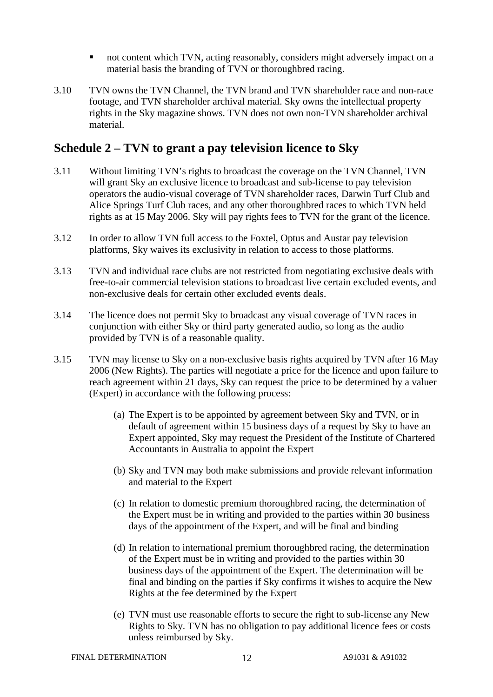- not content which TVN, acting reasonably, considers might adversely impact on a material basis the branding of TVN or thoroughbred racing.
- 3.10 TVN owns the TVN Channel, the TVN brand and TVN shareholder race and non-race footage, and TVN shareholder archival material. Sky owns the intellectual property rights in the Sky magazine shows. TVN does not own non-TVN shareholder archival material.

### **Schedule 2 – TVN to grant a pay television licence to Sky**

- 3.11 Without limiting TVN's rights to broadcast the coverage on the TVN Channel, TVN will grant Sky an exclusive licence to broadcast and sub-license to pay television operators the audio-visual coverage of TVN shareholder races, Darwin Turf Club and Alice Springs Turf Club races, and any other thoroughbred races to which TVN held rights as at 15 May 2006. Sky will pay rights fees to TVN for the grant of the licence.
- 3.12 In order to allow TVN full access to the Foxtel, Optus and Austar pay television platforms, Sky waives its exclusivity in relation to access to those platforms.
- 3.13 TVN and individual race clubs are not restricted from negotiating exclusive deals with free-to-air commercial television stations to broadcast live certain excluded events, and non-exclusive deals for certain other excluded events deals.
- 3.14 The licence does not permit Sky to broadcast any visual coverage of TVN races in conjunction with either Sky or third party generated audio, so long as the audio provided by TVN is of a reasonable quality.
- 3.15 TVN may license to Sky on a non-exclusive basis rights acquired by TVN after 16 May 2006 (New Rights). The parties will negotiate a price for the licence and upon failure to reach agreement within 21 days, Sky can request the price to be determined by a valuer (Expert) in accordance with the following process:
	- (a) The Expert is to be appointed by agreement between Sky and TVN, or in default of agreement within 15 business days of a request by Sky to have an Expert appointed, Sky may request the President of the Institute of Chartered Accountants in Australia to appoint the Expert
	- (b) Sky and TVN may both make submissions and provide relevant information and material to the Expert
	- (c) In relation to domestic premium thoroughbred racing, the determination of the Expert must be in writing and provided to the parties within 30 business days of the appointment of the Expert, and will be final and binding
	- (d) In relation to international premium thoroughbred racing, the determination of the Expert must be in writing and provided to the parties within 30 business days of the appointment of the Expert. The determination will be final and binding on the parties if Sky confirms it wishes to acquire the New Rights at the fee determined by the Expert
	- (e) TVN must use reasonable efforts to secure the right to sub-license any New Rights to Sky. TVN has no obligation to pay additional licence fees or costs unless reimbursed by Sky.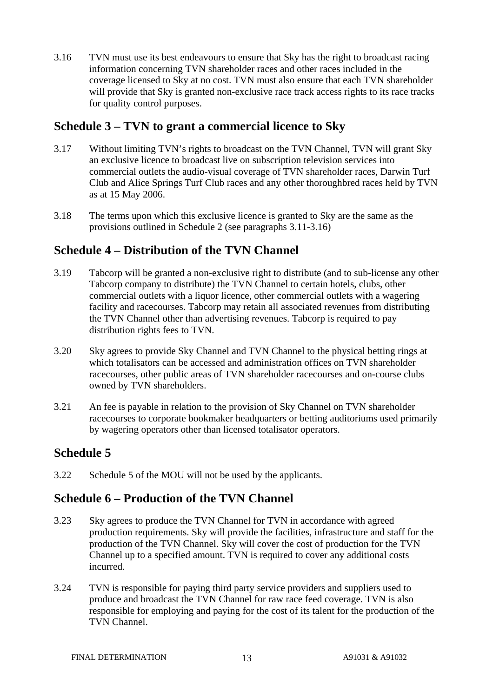3.16 TVN must use its best endeavours to ensure that Sky has the right to broadcast racing information concerning TVN shareholder races and other races included in the coverage licensed to Sky at no cost. TVN must also ensure that each TVN shareholder will provide that Sky is granted non-exclusive race track access rights to its race tracks for quality control purposes.

### **Schedule 3 – TVN to grant a commercial licence to Sky**

- 3.17 Without limiting TVN's rights to broadcast on the TVN Channel, TVN will grant Sky an exclusive licence to broadcast live on subscription television services into commercial outlets the audio-visual coverage of TVN shareholder races, Darwin Turf Club and Alice Springs Turf Club races and any other thoroughbred races held by TVN as at 15 May 2006.
- 3.18 The terms upon which this exclusive licence is granted to Sky are the same as the provisions outlined in Schedule 2 (see paragraphs 3.11-3.16)

### **Schedule 4 – Distribution of the TVN Channel**

- 3.19 Tabcorp will be granted a non-exclusive right to distribute (and to sub-license any other Tabcorp company to distribute) the TVN Channel to certain hotels, clubs, other commercial outlets with a liquor licence, other commercial outlets with a wagering facility and racecourses. Tabcorp may retain all associated revenues from distributing the TVN Channel other than advertising revenues. Tabcorp is required to pay distribution rights fees to TVN.
- 3.20 Sky agrees to provide Sky Channel and TVN Channel to the physical betting rings at which totalisators can be accessed and administration offices on TVN shareholder racecourses, other public areas of TVN shareholder racecourses and on-course clubs owned by TVN shareholders.
- 3.21 An fee is payable in relation to the provision of Sky Channel on TVN shareholder racecourses to corporate bookmaker headquarters or betting auditoriums used primarily by wagering operators other than licensed totalisator operators.

### **Schedule 5**

3.22 Schedule 5 of the MOU will not be used by the applicants.

### **Schedule 6 – Production of the TVN Channel**

- 3.23 Sky agrees to produce the TVN Channel for TVN in accordance with agreed production requirements. Sky will provide the facilities, infrastructure and staff for the production of the TVN Channel. Sky will cover the cost of production for the TVN Channel up to a specified amount. TVN is required to cover any additional costs incurred.
- 3.24 TVN is responsible for paying third party service providers and suppliers used to produce and broadcast the TVN Channel for raw race feed coverage. TVN is also responsible for employing and paying for the cost of its talent for the production of the TVN Channel.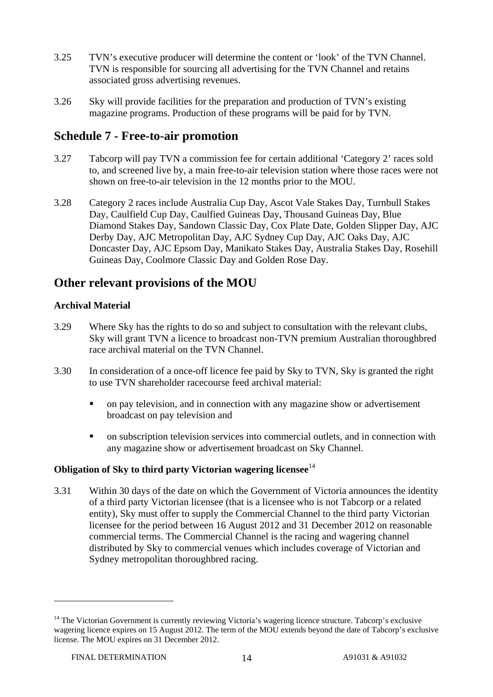- 3.25 TVN's executive producer will determine the content or 'look' of the TVN Channel. TVN is responsible for sourcing all advertising for the TVN Channel and retains associated gross advertising revenues.
- 3.26 Sky will provide facilities for the preparation and production of TVN's existing magazine programs. Production of these programs will be paid for by TVN.

### **Schedule 7 - Free-to-air promotion**

- 3.27 Tabcorp will pay TVN a commission fee for certain additional 'Category 2' races sold to, and screened live by, a main free-to-air television station where those races were not shown on free-to-air television in the 12 months prior to the MOU.
- 3.28 Category 2 races include Australia Cup Day, Ascot Vale Stakes Day, Turnbull Stakes Day, Caulfield Cup Day, Caulfied Guineas Day, Thousand Guineas Day, Blue Diamond Stakes Day, Sandown Classic Day, Cox Plate Date, Golden Slipper Day, AJC Derby Day, AJC Metropolitan Day, AJC Sydney Cup Day, AJC Oaks Day, AJC Doncaster Day, AJC Epsom Day, Manikato Stakes Day, Australia Stakes Day, Rosehill Guineas Day, Coolmore Classic Day and Golden Rose Day.

### **Other relevant provisions of the MOU**

### **Archival Material**

- 3.29 Where Sky has the rights to do so and subject to consultation with the relevant clubs, Sky will grant TVN a licence to broadcast non-TVN premium Australian thoroughbred race archival material on the TVN Channel.
- 3.30 In consideration of a once-off licence fee paid by Sky to TVN, Sky is granted the right to use TVN shareholder racecourse feed archival material:
	- on pay television, and in connection with any magazine show or advertisement broadcast on pay television and
	- on subscription television services into commercial outlets, and in connection with any magazine show or advertisement broadcast on Sky Channel.

#### **Obligation of Sky to third party Victorian wagering licensee**<sup>14</sup>

3.31 Within 30 days of the date on which the Government of Victoria announces the identity of a third party Victorian licensee (that is a licensee who is not Tabcorp or a related entity), Sky must offer to supply the Commercial Channel to the third party Victorian licensee for the period between 16 August 2012 and 31 December 2012 on reasonable commercial terms. The Commercial Channel is the racing and wagering channel distributed by Sky to commercial venues which includes coverage of Victorian and Sydney metropolitan thoroughbred racing.

<sup>&</sup>lt;sup>14</sup> The Victorian Government is currently reviewing Victoria's wagering licence structure. Tabcorp's exclusive wagering licence expires on 15 August 2012. The term of the MOU extends beyond the date of Tabcorp's exclusive license. The MOU expires on 31 December 2012.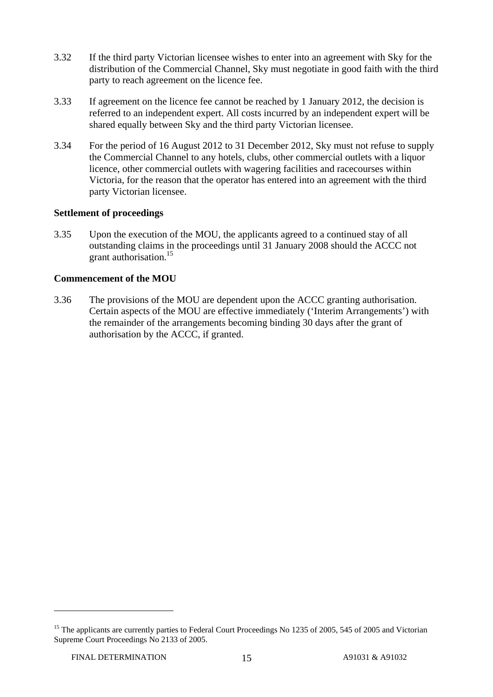- 3.32 If the third party Victorian licensee wishes to enter into an agreement with Sky for the distribution of the Commercial Channel, Sky must negotiate in good faith with the third party to reach agreement on the licence fee.
- 3.33 If agreement on the licence fee cannot be reached by 1 January 2012, the decision is referred to an independent expert. All costs incurred by an independent expert will be shared equally between Sky and the third party Victorian licensee.
- 3.34 For the period of 16 August 2012 to 31 December 2012, Sky must not refuse to supply the Commercial Channel to any hotels, clubs, other commercial outlets with a liquor licence, other commercial outlets with wagering facilities and racecourses within Victoria, for the reason that the operator has entered into an agreement with the third party Victorian licensee.

#### **Settlement of proceedings**

3.35 Upon the execution of the MOU, the applicants agreed to a continued stay of all outstanding claims in the proceedings until 31 January 2008 should the ACCC not grant authorisation.<sup>15</sup>

#### **Commencement of the MOU**

3.36 The provisions of the MOU are dependent upon the ACCC granting authorisation. Certain aspects of the MOU are effective immediately ('Interim Arrangements') with the remainder of the arrangements becoming binding 30 days after the grant of authorisation by the ACCC, if granted.

<sup>&</sup>lt;sup>15</sup> The applicants are currently parties to Federal Court Proceedings No 1235 of 2005, 545 of 2005 and Victorian Supreme Court Proceedings No 2133 of 2005.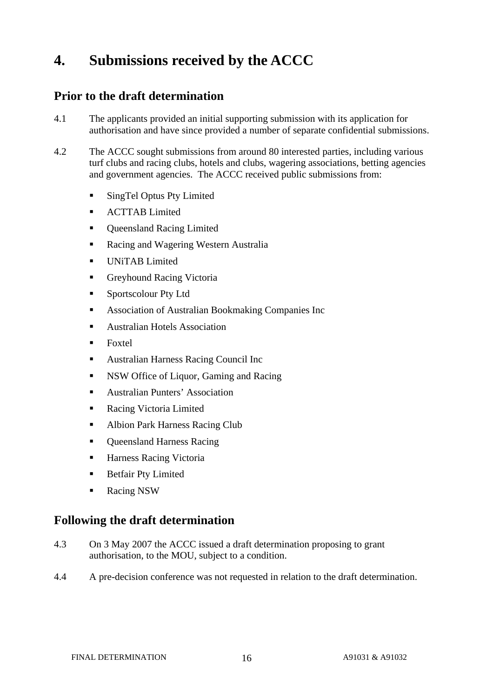# **4. Submissions received by the ACCC**

### **Prior to the draft determination**

- 4.1 The applicants provided an initial supporting submission with its application for authorisation and have since provided a number of separate confidential submissions.
- 4.2 The ACCC sought submissions from around 80 interested parties, including various turf clubs and racing clubs, hotels and clubs, wagering associations, betting agencies and government agencies. The ACCC received public submissions from:
	- SingTel Optus Pty Limited
	- ACTTAB Limited
	- Queensland Racing Limited
	- Racing and Wagering Western Australia
	- UNiTAB Limited
	- Greyhound Racing Victoria
	- **Sportscolour Pty Ltd**
	- Association of Australian Bookmaking Companies Inc
	- Australian Hotels Association
	- Foxtel
	- Australian Harness Racing Council Inc
	- **NSW** Office of Liquor, Gaming and Racing
	- Australian Punters' Association
	- **Racing Victoria Limited**
	- Albion Park Harness Racing Club
	- Queensland Harness Racing
	- Harness Racing Victoria
	- **Betfair Pty Limited**
	- Racing NSW

### **Following the draft determination**

- 4.3 On 3 May 2007 the ACCC issued a draft determination proposing to grant authorisation, to the MOU, subject to a condition.
- 4.4 A pre-decision conference was not requested in relation to the draft determination.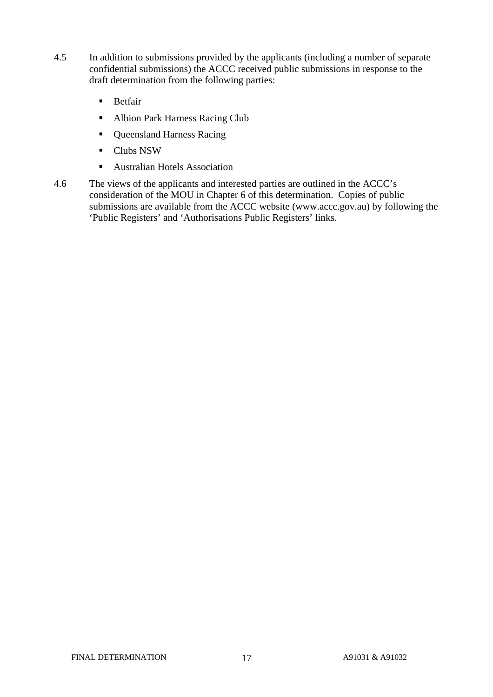- 4.5 In addition to submissions provided by the applicants (including a number of separate confidential submissions) the ACCC received public submissions in response to the draft determination from the following parties:
	- **Betfair**
	- Albion Park Harness Racing Club
	- Queensland Harness Racing
	- **Clubs NSW**
	- **Australian Hotels Association**
- 4.6 The views of the applicants and interested parties are outlined in the ACCC's consideration of the MOU in Chapter 6 of this determination. Copies of public submissions are available from the ACCC website (www.accc.gov.au) by following the 'Public Registers' and 'Authorisations Public Registers' links.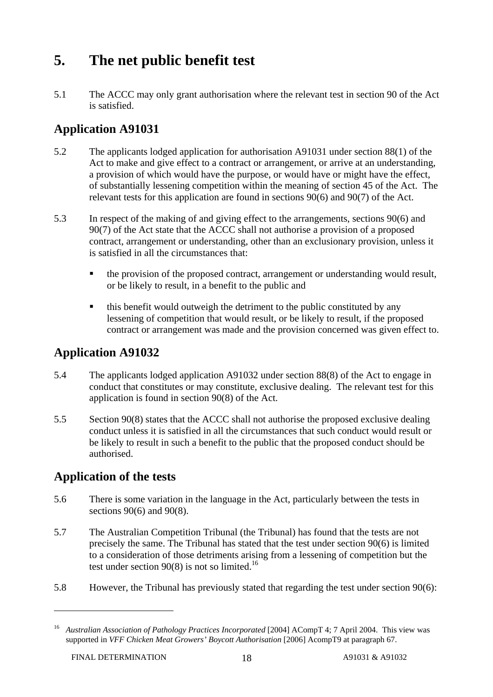# **5. The net public benefit test**

5.1 The ACCC may only grant authorisation where the relevant test in section 90 of the Act is satisfied.

### **Application A91031**

- 5.2 The applicants lodged application for authorisation A91031 under section 88(1) of the Act to make and give effect to a contract or arrangement, or arrive at an understanding, a provision of which would have the purpose, or would have or might have the effect, of substantially lessening competition within the meaning of section 45 of the Act. The relevant tests for this application are found in sections 90(6) and 90(7) of the Act.
- 5.3 In respect of the making of and giving effect to the arrangements, sections 90(6) and 90(7) of the Act state that the ACCC shall not authorise a provision of a proposed contract, arrangement or understanding, other than an exclusionary provision, unless it is satisfied in all the circumstances that:
	- the provision of the proposed contract, arrangement or understanding would result, or be likely to result, in a benefit to the public and
	- this benefit would outweigh the detriment to the public constituted by any lessening of competition that would result, or be likely to result, if the proposed contract or arrangement was made and the provision concerned was given effect to.

### **Application A91032**

- 5.4 The applicants lodged application A91032 under section 88(8) of the Act to engage in conduct that constitutes or may constitute, exclusive dealing. The relevant test for this application is found in section 90(8) of the Act.
- 5.5 Section 90(8) states that the ACCC shall not authorise the proposed exclusive dealing conduct unless it is satisfied in all the circumstances that such conduct would result or be likely to result in such a benefit to the public that the proposed conduct should be authorised.

### **Application of the tests**

- 5.6 There is some variation in the language in the Act, particularly between the tests in sections 90(6) and 90(8).
- 5.7 The Australian Competition Tribunal (the Tribunal) has found that the tests are not precisely the same. The Tribunal has stated that the test under section 90(6) is limited to a consideration of those detriments arising from a lessening of competition but the test under section  $90(8)$  is not so limited.<sup>16</sup>
- 5.8 However, the Tribunal has previously stated that regarding the test under section 90(6):

<sup>&</sup>lt;sup>16</sup> Australian Association of Pathology Practices Incorporated [2004] ACompT 4; 7 April 2004. This view was supported in *VFF Chicken Meat Growers' Boycott Authorisation* [2006] AcompT9 at paragraph 67.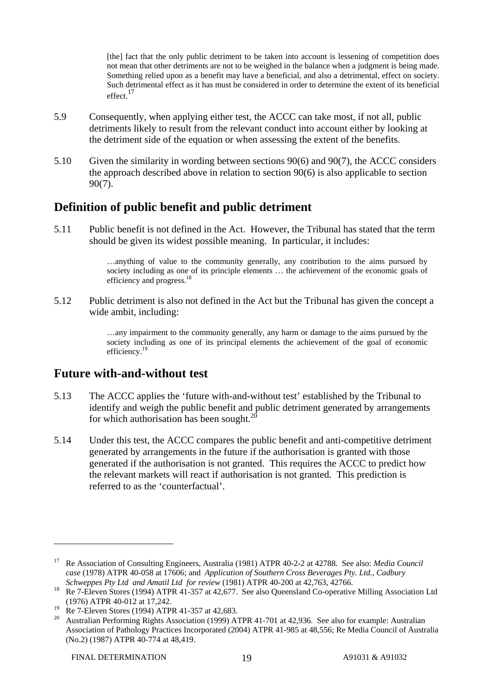[the] fact that the only public detriment to be taken into account is lessening of competition does not mean that other detriments are not to be weighed in the balance when a judgment is being made. Something relied upon as a benefit may have a beneficial, and also a detrimental, effect on society. Such detrimental effect as it has must be considered in order to determine the extent of its beneficial effect<sup>17</sup>

- 5.9 Consequently, when applying either test, the ACCC can take most, if not all, public detriments likely to result from the relevant conduct into account either by looking at the detriment side of the equation or when assessing the extent of the benefits.
- 5.10 Given the similarity in wording between sections 90(6) and 90(7), the ACCC considers the approach described above in relation to section 90(6) is also applicable to section 90(7).

### **Definition of public benefit and public detriment**

5.11 Public benefit is not defined in the Act. However, the Tribunal has stated that the term should be given its widest possible meaning. In particular, it includes:

> …anything of value to the community generally, any contribution to the aims pursued by society including as one of its principle elements … the achievement of the economic goals of efficiency and progress.<sup>18</sup>

5.12 Public detriment is also not defined in the Act but the Tribunal has given the concept a wide ambit, including:

> …any impairment to the community generally, any harm or damage to the aims pursued by the society including as one of its principal elements the achievement of the goal of economic efficiency.<sup>19</sup>

### **Future with-and-without test**

- 5.13 The ACCC applies the 'future with-and-without test' established by the Tribunal to identify and weigh the public benefit and public detriment generated by arrangements for which authorisation has been sought. $^{20}$
- 5.14 Under this test, the ACCC compares the public benefit and anti-competitive detriment generated by arrangements in the future if the authorisation is granted with those generated if the authorisation is not granted. This requires the ACCC to predict how the relevant markets will react if authorisation is not granted. This prediction is referred to as the 'counterfactual'.

<sup>17</sup> Re Association of Consulting Engineers, Australia (1981) ATPR 40-2-2 at 42788. See also: *Media Council case* (1978) ATPR 40-058 at 17606; and *Application of Southern Cross Beverages Pty. Ltd., Cadbury* 

*Schweppes Pty Ltd and Amatil Ltd for review* (1981) ATPR 40-200 at 42,763, 42766. 18 Re 7-Eleven Stores (1994) ATPR 41-357 at 42,677. See also Queensland Co-operative Milling Association Ltd (1976) ATPR 40-012 at 17,242.

<sup>&</sup>lt;sup>19</sup> Re 7-Eleven Stores (1994) ATPR 41-357 at 42,683.

<sup>20</sup> Australian Performing Rights Association (1999) ATPR 41-701 at 42,936. See also for example: Australian Association of Pathology Practices Incorporated (2004) ATPR 41-985 at 48,556; Re Media Council of Australia (No.2) (1987) ATPR 40-774 at 48,419.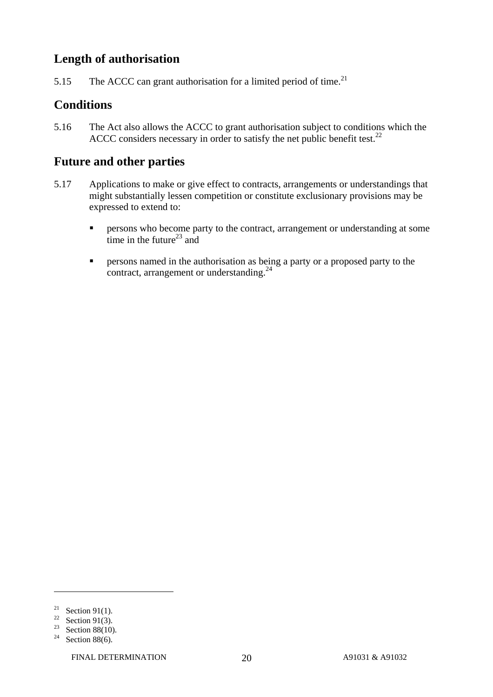### **Length of authorisation**

5.15 The ACCC can grant authorisation for a limited period of time.<sup>21</sup>

### **Conditions**

5.16 The Act also allows the ACCC to grant authorisation subject to conditions which the ACCC considers necessary in order to satisfy the net public benefit test. $^{22}$ 

### **Future and other parties**

- 5.17 Applications to make or give effect to contracts, arrangements or understandings that might substantially lessen competition or constitute exclusionary provisions may be expressed to extend to:
	- **Persons who become party to the contract, arrangement or understanding at some** time in the future<sup>23</sup> and
	- **Persons named in the authorisation as being a party or a proposed party to the** contract, arrangement or understanding.<sup>24</sup>

<sup>&</sup>lt;sup>21</sup> Section 91(1).

<sup>&</sup>lt;sup>22</sup> Section 91(3).

<sup>&</sup>lt;sup>23</sup> Section 88(10).

<sup>&</sup>lt;sup>24</sup> Section 88(6).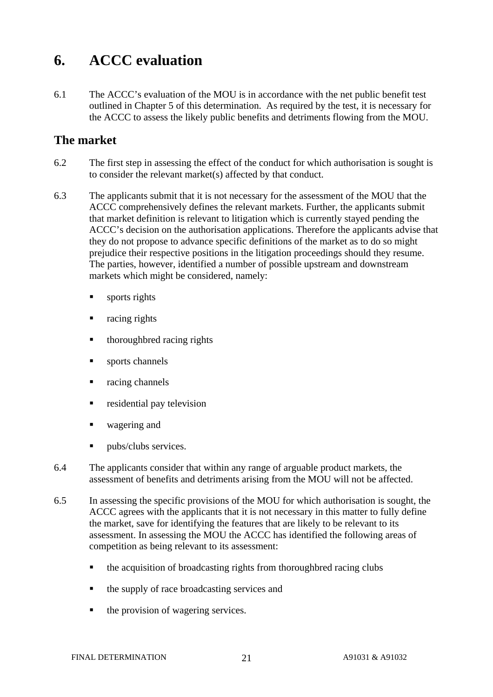# **6. ACCC evaluation**

6.1 The ACCC's evaluation of the MOU is in accordance with the net public benefit test outlined in Chapter 5 of this determination. As required by the test, it is necessary for the ACCC to assess the likely public benefits and detriments flowing from the MOU.

### **The market**

- 6.2 The first step in assessing the effect of the conduct for which authorisation is sought is to consider the relevant market(s) affected by that conduct.
- 6.3 The applicants submit that it is not necessary for the assessment of the MOU that the ACCC comprehensively defines the relevant markets. Further, the applicants submit that market definition is relevant to litigation which is currently stayed pending the ACCC's decision on the authorisation applications. Therefore the applicants advise that they do not propose to advance specific definitions of the market as to do so might prejudice their respective positions in the litigation proceedings should they resume. The parties, however, identified a number of possible upstream and downstream markets which might be considered, namely:
	- sports rights
	- racing rights
	- thoroughbred racing rights
	- sports channels
	- racing channels
	- residential pay television
	- wagering and
	- pubs/clubs services.
- 6.4 The applicants consider that within any range of arguable product markets, the assessment of benefits and detriments arising from the MOU will not be affected.
- 6.5 In assessing the specific provisions of the MOU for which authorisation is sought, the ACCC agrees with the applicants that it is not necessary in this matter to fully define the market, save for identifying the features that are likely to be relevant to its assessment. In assessing the MOU the ACCC has identified the following areas of competition as being relevant to its assessment:
	- the acquisition of broadcasting rights from thoroughbred racing clubs
	- the supply of race broadcasting services and
	- the provision of wagering services.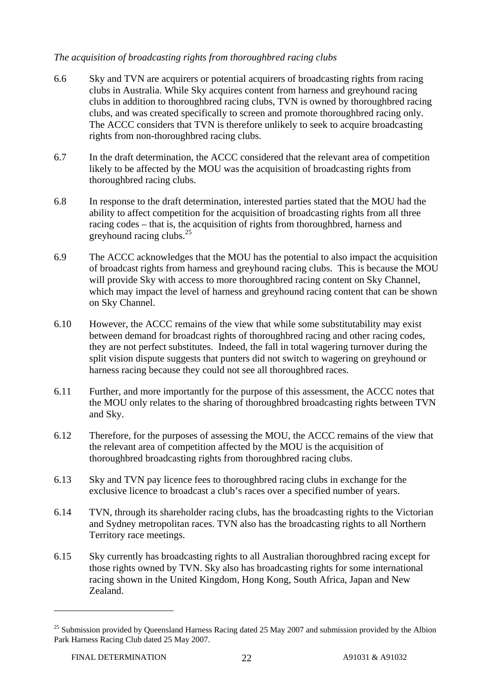#### *The acquisition of broadcasting rights from thoroughbred racing clubs*

- 6.6 Sky and TVN are acquirers or potential acquirers of broadcasting rights from racing clubs in Australia. While Sky acquires content from harness and greyhound racing clubs in addition to thoroughbred racing clubs, TVN is owned by thoroughbred racing clubs, and was created specifically to screen and promote thoroughbred racing only. The ACCC considers that TVN is therefore unlikely to seek to acquire broadcasting rights from non-thoroughbred racing clubs.
- 6.7 In the draft determination, the ACCC considered that the relevant area of competition likely to be affected by the MOU was the acquisition of broadcasting rights from thoroughbred racing clubs.
- 6.8 In response to the draft determination, interested parties stated that the MOU had the ability to affect competition for the acquisition of broadcasting rights from all three racing codes – that is, the acquisition of rights from thoroughbred, harness and greyhound racing clubs.<sup>25</sup>
- 6.9 The ACCC acknowledges that the MOU has the potential to also impact the acquisition of broadcast rights from harness and greyhound racing clubs. This is because the MOU will provide Sky with access to more thoroughbred racing content on Sky Channel, which may impact the level of harness and greyhound racing content that can be shown on Sky Channel.
- 6.10 However, the ACCC remains of the view that while some substitutability may exist between demand for broadcast rights of thoroughbred racing and other racing codes, they are not perfect substitutes. Indeed, the fall in total wagering turnover during the split vision dispute suggests that punters did not switch to wagering on greyhound or harness racing because they could not see all thoroughbred races.
- 6.11 Further, and more importantly for the purpose of this assessment, the ACCC notes that the MOU only relates to the sharing of thoroughbred broadcasting rights between TVN and Sky.
- 6.12 Therefore, for the purposes of assessing the MOU, the ACCC remains of the view that the relevant area of competition affected by the MOU is the acquisition of thoroughbred broadcasting rights from thoroughbred racing clubs.
- 6.13 Sky and TVN pay licence fees to thoroughbred racing clubs in exchange for the exclusive licence to broadcast a club's races over a specified number of years.
- 6.14 TVN, through its shareholder racing clubs, has the broadcasting rights to the Victorian and Sydney metropolitan races. TVN also has the broadcasting rights to all Northern Territory race meetings.
- 6.15 Sky currently has broadcasting rights to all Australian thoroughbred racing except for those rights owned by TVN. Sky also has broadcasting rights for some international racing shown in the United Kingdom, Hong Kong, South Africa, Japan and New Zealand.

<sup>&</sup>lt;sup>25</sup> Submission provided by Queensland Harness Racing dated 25 May 2007 and submission provided by the Albion Park Harness Racing Club dated 25 May 2007.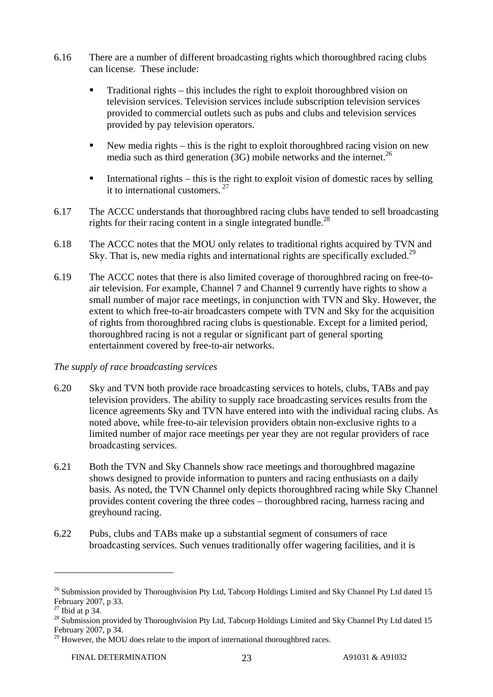- 6.16 There are a number of different broadcasting rights which thoroughbred racing clubs can license. These include:
	- Traditional rights this includes the right to exploit thoroughbred vision on television services. Television services include subscription television services provided to commercial outlets such as pubs and clubs and television services provided by pay television operators.
	- New media rights this is the right to exploit thoroughbred racing vision on new media such as third generation  $(3G)$  mobile networks and the internet.<sup>26</sup>
	- International rights this is the right to exploit vision of domestic races by selling it to international customers. 27
- 6.17 The ACCC understands that thoroughbred racing clubs have tended to sell broadcasting rights for their racing content in a single integrated bundle.<sup>28</sup>
- 6.18 The ACCC notes that the MOU only relates to traditional rights acquired by TVN and Sky. That is, new media rights and international rights are specifically excluded.<sup>29</sup>
- 6.19 The ACCC notes that there is also limited coverage of thoroughbred racing on free-toair television. For example, Channel 7 and Channel 9 currently have rights to show a small number of major race meetings, in conjunction with TVN and Sky. However, the extent to which free-to-air broadcasters compete with TVN and Sky for the acquisition of rights from thoroughbred racing clubs is questionable. Except for a limited period, thoroughbred racing is not a regular or significant part of general sporting entertainment covered by free-to-air networks.

#### *The supply of race broadcasting services*

- 6.20 Sky and TVN both provide race broadcasting services to hotels, clubs, TABs and pay television providers. The ability to supply race broadcasting services results from the licence agreements Sky and TVN have entered into with the individual racing clubs. As noted above, while free-to-air television providers obtain non-exclusive rights to a limited number of major race meetings per year they are not regular providers of race broadcasting services.
- 6.21 Both the TVN and Sky Channels show race meetings and thoroughbred magazine shows designed to provide information to punters and racing enthusiasts on a daily basis. As noted, the TVN Channel only depicts thoroughbred racing while Sky Channel provides content covering the three codes – thoroughbred racing, harness racing and greyhound racing.
- 6.22 Pubs, clubs and TABs make up a substantial segment of consumers of race broadcasting services. Such venues traditionally offer wagering facilities, and it is

<sup>&</sup>lt;sup>26</sup> Submission provided by Thoroughvision Pty Ltd, Tabcorp Holdings Limited and Sky Channel Pty Ltd dated 15 February 2007, p 33.

 $27$  Ibid at p 34.

<sup>&</sup>lt;sup>28</sup> Submission provided by Thoroughvision Pty Ltd, Tabcorp Holdings Limited and Sky Channel Pty Ltd dated 15 February 2007, p 34.

 $^{29}$  However, the MOU does relate to the import of international thoroughbred races.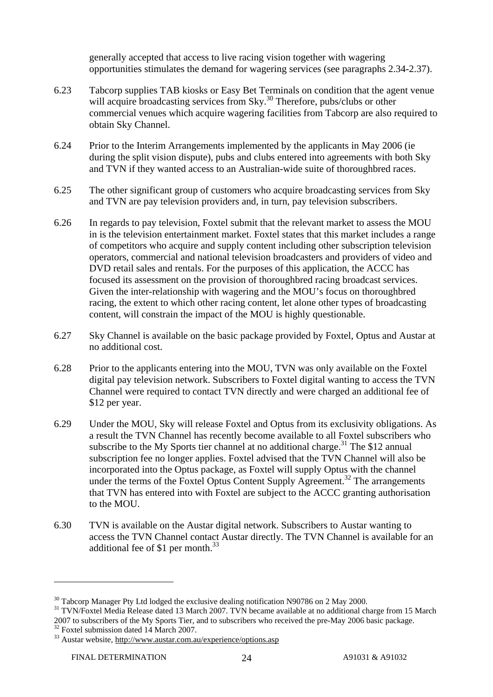generally accepted that access to live racing vision together with wagering opportunities stimulates the demand for wagering services (see paragraphs 2.34-2.37).

- 6.23 Tabcorp supplies TAB kiosks or Easy Bet Terminals on condition that the agent venue will acquire broadcasting services from Sky.<sup>30</sup> Therefore, pubs/clubs or other commercial venues which acquire wagering facilities from Tabcorp are also required to obtain Sky Channel.
- 6.24 Prior to the Interim Arrangements implemented by the applicants in May 2006 (ie during the split vision dispute), pubs and clubs entered into agreements with both Sky and TVN if they wanted access to an Australian-wide suite of thoroughbred races.
- 6.25 The other significant group of customers who acquire broadcasting services from Sky and TVN are pay television providers and, in turn, pay television subscribers.
- 6.26 In regards to pay television, Foxtel submit that the relevant market to assess the MOU in is the television entertainment market. Foxtel states that this market includes a range of competitors who acquire and supply content including other subscription television operators, commercial and national television broadcasters and providers of video and DVD retail sales and rentals. For the purposes of this application, the ACCC has focused its assessment on the provision of thoroughbred racing broadcast services. Given the inter-relationship with wagering and the MOU's focus on thoroughbred racing, the extent to which other racing content, let alone other types of broadcasting content, will constrain the impact of the MOU is highly questionable.
- 6.27 Sky Channel is available on the basic package provided by Foxtel, Optus and Austar at no additional cost.
- 6.28 Prior to the applicants entering into the MOU, TVN was only available on the Foxtel digital pay television network. Subscribers to Foxtel digital wanting to access the TVN Channel were required to contact TVN directly and were charged an additional fee of \$12 per year.
- 6.29 Under the MOU, Sky will release Foxtel and Optus from its exclusivity obligations. As a result the TVN Channel has recently become available to all Foxtel subscribers who subscribe to the My Sports tier channel at no additional charge.<sup>31</sup> The \$12 annual subscription fee no longer applies. Foxtel advised that the TVN Channel will also be incorporated into the Optus package, as Foxtel will supply Optus with the channel under the terms of the Foxtel Optus Content Supply Agreement.<sup>32</sup> The arrangements that TVN has entered into with Foxtel are subject to the ACCC granting authorisation to the MOU.
- 6.30 TVN is available on the Austar digital network. Subscribers to Austar wanting to access the TVN Channel contact Austar directly. The TVN Channel is available for an additional fee of \$1 per month.<sup>33</sup>

<sup>&</sup>lt;sup>30</sup> Tabcorp Manager Pty Ltd lodged the exclusive dealing notification N90786 on 2 May 2000.

<sup>&</sup>lt;sup>31</sup> TVN/Foxtel Media Release dated 13 March 2007. TVN became available at no additional charge from 15 March 2007 to subscribers of the My Sports Tier, and to subscribers who received the pre-May 2006 basic package. 32 Foxtel submission dated 14 March 2007.

<sup>&</sup>lt;sup>33</sup> Austar website, http://www.austar.com.au/experience/options.asp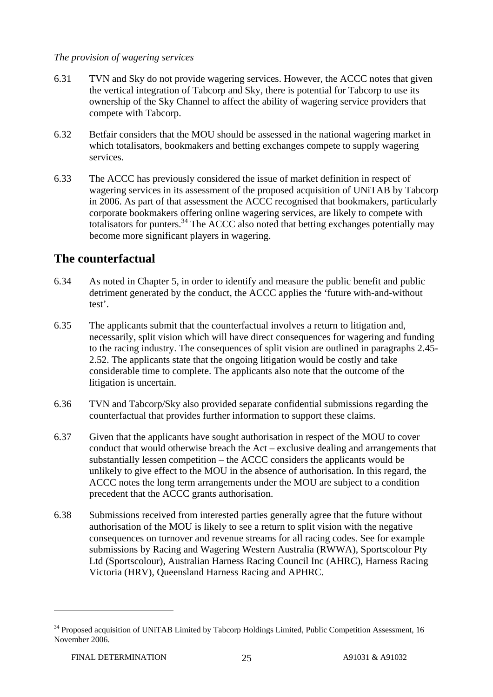*The provision of wagering services* 

- 6.31 TVN and Sky do not provide wagering services. However, the ACCC notes that given the vertical integration of Tabcorp and Sky, there is potential for Tabcorp to use its ownership of the Sky Channel to affect the ability of wagering service providers that compete with Tabcorp.
- 6.32 Betfair considers that the MOU should be assessed in the national wagering market in which totalisators, bookmakers and betting exchanges compete to supply wagering services.
- 6.33 The ACCC has previously considered the issue of market definition in respect of wagering services in its assessment of the proposed acquisition of UNiTAB by Tabcorp in 2006. As part of that assessment the ACCC recognised that bookmakers, particularly corporate bookmakers offering online wagering services, are likely to compete with totalisators for punters.<sup>34</sup> The ACCC also noted that betting exchanges potentially may become more significant players in wagering.

### **The counterfactual**

- 6.34 As noted in Chapter 5, in order to identify and measure the public benefit and public detriment generated by the conduct, the ACCC applies the 'future with-and-without test'.
- 6.35 The applicants submit that the counterfactual involves a return to litigation and, necessarily, split vision which will have direct consequences for wagering and funding to the racing industry. The consequences of split vision are outlined in paragraphs 2.45- 2.52. The applicants state that the ongoing litigation would be costly and take considerable time to complete. The applicants also note that the outcome of the litigation is uncertain.
- 6.36 TVN and Tabcorp/Sky also provided separate confidential submissions regarding the counterfactual that provides further information to support these claims.
- 6.37 Given that the applicants have sought authorisation in respect of the MOU to cover conduct that would otherwise breach the Act – exclusive dealing and arrangements that substantially lessen competition – the ACCC considers the applicants would be unlikely to give effect to the MOU in the absence of authorisation. In this regard, the ACCC notes the long term arrangements under the MOU are subject to a condition precedent that the ACCC grants authorisation.
- 6.38 Submissions received from interested parties generally agree that the future without authorisation of the MOU is likely to see a return to split vision with the negative consequences on turnover and revenue streams for all racing codes. See for example submissions by Racing and Wagering Western Australia (RWWA), Sportscolour Pty Ltd (Sportscolour), Australian Harness Racing Council Inc (AHRC), Harness Racing Victoria (HRV), Queensland Harness Racing and APHRC.

<sup>&</sup>lt;sup>34</sup> Proposed acquisition of UNiTAB Limited by Tabcorp Holdings Limited, Public Competition Assessment, 16 November 2006.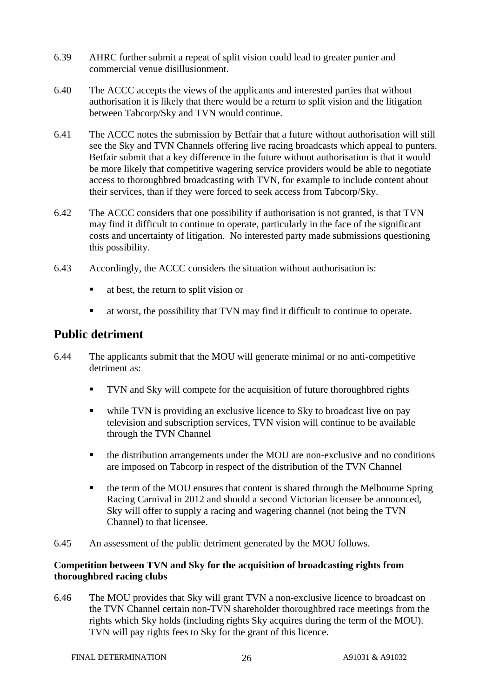- 6.39 AHRC further submit a repeat of split vision could lead to greater punter and commercial venue disillusionment.
- 6.40 The ACCC accepts the views of the applicants and interested parties that without authorisation it is likely that there would be a return to split vision and the litigation between Tabcorp/Sky and TVN would continue.
- 6.41 The ACCC notes the submission by Betfair that a future without authorisation will still see the Sky and TVN Channels offering live racing broadcasts which appeal to punters. Betfair submit that a key difference in the future without authorisation is that it would be more likely that competitive wagering service providers would be able to negotiate access to thoroughbred broadcasting with TVN, for example to include content about their services, than if they were forced to seek access from Tabcorp/Sky.
- 6.42 The ACCC considers that one possibility if authorisation is not granted, is that TVN may find it difficult to continue to operate, particularly in the face of the significant costs and uncertainty of litigation. No interested party made submissions questioning this possibility.
- 6.43 Accordingly, the ACCC considers the situation without authorisation is:
	- at best, the return to split vision or
	- at worst, the possibility that TVN may find it difficult to continue to operate.

### **Public detriment**

- 6.44 The applicants submit that the MOU will generate minimal or no anti-competitive detriment as:
	- **TVN** and Sky will compete for the acquisition of future thoroughbred rights
	- while TVN is providing an exclusive licence to Sky to broadcast live on pay television and subscription services, TVN vision will continue to be available through the TVN Channel
	- the distribution arrangements under the MOU are non-exclusive and no conditions are imposed on Tabcorp in respect of the distribution of the TVN Channel
	- the term of the MOU ensures that content is shared through the Melbourne Spring Racing Carnival in 2012 and should a second Victorian licensee be announced, Sky will offer to supply a racing and wagering channel (not being the TVN Channel) to that licensee.
- 6.45 An assessment of the public detriment generated by the MOU follows.

#### **Competition between TVN and Sky for the acquisition of broadcasting rights from thoroughbred racing clubs**

6.46 The MOU provides that Sky will grant TVN a non-exclusive licence to broadcast on the TVN Channel certain non-TVN shareholder thoroughbred race meetings from the rights which Sky holds (including rights Sky acquires during the term of the MOU). TVN will pay rights fees to Sky for the grant of this licence.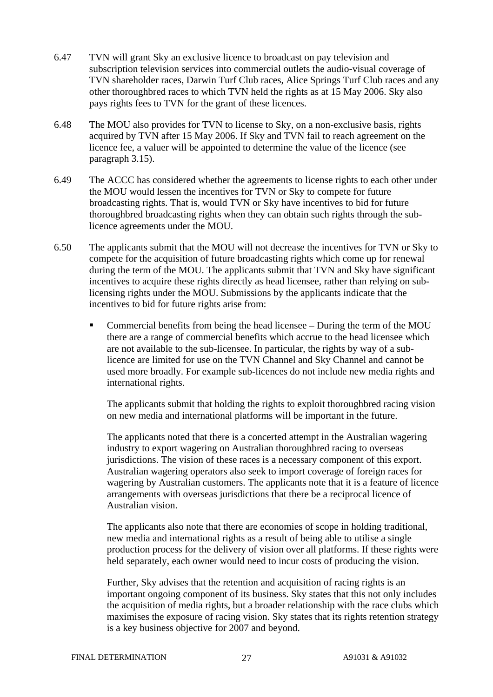- 6.47 TVN will grant Sky an exclusive licence to broadcast on pay television and subscription television services into commercial outlets the audio-visual coverage of TVN shareholder races, Darwin Turf Club races, Alice Springs Turf Club races and any other thoroughbred races to which TVN held the rights as at 15 May 2006. Sky also pays rights fees to TVN for the grant of these licences.
- 6.48 The MOU also provides for TVN to license to Sky, on a non-exclusive basis, rights acquired by TVN after 15 May 2006. If Sky and TVN fail to reach agreement on the licence fee, a valuer will be appointed to determine the value of the licence (see paragraph 3.15).
- 6.49 The ACCC has considered whether the agreements to license rights to each other under the MOU would lessen the incentives for TVN or Sky to compete for future broadcasting rights. That is, would TVN or Sky have incentives to bid for future thoroughbred broadcasting rights when they can obtain such rights through the sublicence agreements under the MOU.
- 6.50 The applicants submit that the MOU will not decrease the incentives for TVN or Sky to compete for the acquisition of future broadcasting rights which come up for renewal during the term of the MOU. The applicants submit that TVN and Sky have significant incentives to acquire these rights directly as head licensee, rather than relying on sublicensing rights under the MOU. Submissions by the applicants indicate that the incentives to bid for future rights arise from:
	- Commercial benefits from being the head licensee During the term of the MOU there are a range of commercial benefits which accrue to the head licensee which are not available to the sub-licensee. In particular, the rights by way of a sublicence are limited for use on the TVN Channel and Sky Channel and cannot be used more broadly. For example sub-licences do not include new media rights and international rights.

 The applicants submit that holding the rights to exploit thoroughbred racing vision on new media and international platforms will be important in the future.

 The applicants noted that there is a concerted attempt in the Australian wagering industry to export wagering on Australian thoroughbred racing to overseas jurisdictions. The vision of these races is a necessary component of this export. Australian wagering operators also seek to import coverage of foreign races for wagering by Australian customers. The applicants note that it is a feature of licence arrangements with overseas jurisdictions that there be a reciprocal licence of Australian vision.

 The applicants also note that there are economies of scope in holding traditional, new media and international rights as a result of being able to utilise a single production process for the delivery of vision over all platforms. If these rights were held separately, each owner would need to incur costs of producing the vision.

 Further, Sky advises that the retention and acquisition of racing rights is an important ongoing component of its business. Sky states that this not only includes the acquisition of media rights, but a broader relationship with the race clubs which maximises the exposure of racing vision. Sky states that its rights retention strategy is a key business objective for 2007 and beyond.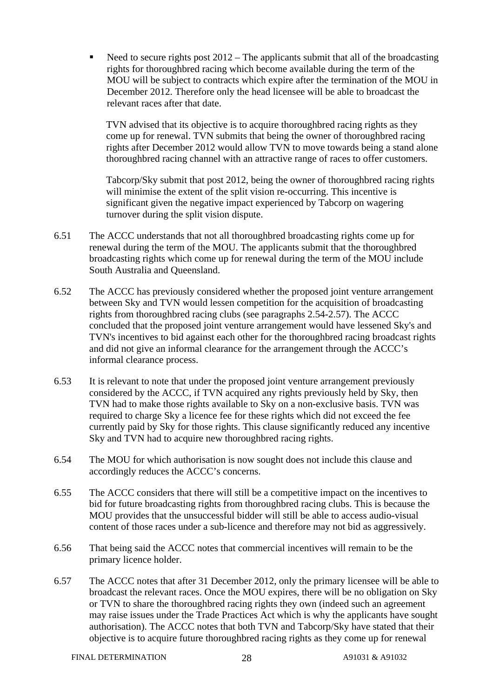Need to secure rights post 2012 – The applicants submit that all of the broadcasting rights for thoroughbred racing which become available during the term of the MOU will be subject to contracts which expire after the termination of the MOU in December 2012. Therefore only the head licensee will be able to broadcast the relevant races after that date.

TVN advised that its objective is to acquire thoroughbred racing rights as they come up for renewal. TVN submits that being the owner of thoroughbred racing rights after December 2012 would allow TVN to move towards being a stand alone thoroughbred racing channel with an attractive range of races to offer customers.

Tabcorp/Sky submit that post 2012, being the owner of thoroughbred racing rights will minimise the extent of the split vision re-occurring. This incentive is significant given the negative impact experienced by Tabcorp on wagering turnover during the split vision dispute.

- 6.51 The ACCC understands that not all thoroughbred broadcasting rights come up for renewal during the term of the MOU. The applicants submit that the thoroughbred broadcasting rights which come up for renewal during the term of the MOU include South Australia and Queensland.
- 6.52 The ACCC has previously considered whether the proposed joint venture arrangement between Sky and TVN would lessen competition for the acquisition of broadcasting rights from thoroughbred racing clubs (see paragraphs 2.54-2.57). The ACCC concluded that the proposed joint venture arrangement would have lessened Sky's and TVN's incentives to bid against each other for the thoroughbred racing broadcast rights and did not give an informal clearance for the arrangement through the ACCC's informal clearance process.
- 6.53 It is relevant to note that under the proposed joint venture arrangement previously considered by the ACCC, if TVN acquired any rights previously held by Sky, then TVN had to make those rights available to Sky on a non-exclusive basis. TVN was required to charge Sky a licence fee for these rights which did not exceed the fee currently paid by Sky for those rights. This clause significantly reduced any incentive Sky and TVN had to acquire new thoroughbred racing rights.
- 6.54 The MOU for which authorisation is now sought does not include this clause and accordingly reduces the ACCC's concerns.
- 6.55 The ACCC considers that there will still be a competitive impact on the incentives to bid for future broadcasting rights from thoroughbred racing clubs. This is because the MOU provides that the unsuccessful bidder will still be able to access audio-visual content of those races under a sub-licence and therefore may not bid as aggressively.
- 6.56 That being said the ACCC notes that commercial incentives will remain to be the primary licence holder.
- 6.57 The ACCC notes that after 31 December 2012, only the primary licensee will be able to broadcast the relevant races. Once the MOU expires, there will be no obligation on Sky or TVN to share the thoroughbred racing rights they own (indeed such an agreement may raise issues under the Trade Practices Act which is why the applicants have sought authorisation). The ACCC notes that both TVN and Tabcorp/Sky have stated that their objective is to acquire future thoroughbred racing rights as they come up for renewal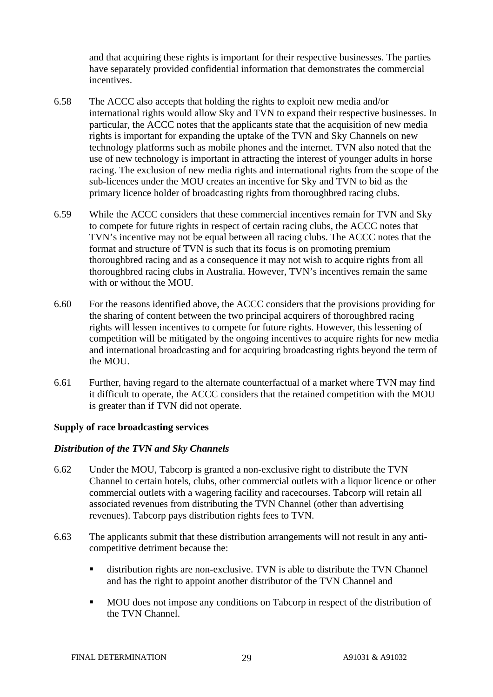and that acquiring these rights is important for their respective businesses. The parties have separately provided confidential information that demonstrates the commercial incentives.

- 6.58 The ACCC also accepts that holding the rights to exploit new media and/or international rights would allow Sky and TVN to expand their respective businesses. In particular, the ACCC notes that the applicants state that the acquisition of new media rights is important for expanding the uptake of the TVN and Sky Channels on new technology platforms such as mobile phones and the internet. TVN also noted that the use of new technology is important in attracting the interest of younger adults in horse racing. The exclusion of new media rights and international rights from the scope of the sub-licences under the MOU creates an incentive for Sky and TVN to bid as the primary licence holder of broadcasting rights from thoroughbred racing clubs.
- 6.59 While the ACCC considers that these commercial incentives remain for TVN and Sky to compete for future rights in respect of certain racing clubs, the ACCC notes that TVN's incentive may not be equal between all racing clubs. The ACCC notes that the format and structure of TVN is such that its focus is on promoting premium thoroughbred racing and as a consequence it may not wish to acquire rights from all thoroughbred racing clubs in Australia. However, TVN's incentives remain the same with or without the MOU.
- 6.60 For the reasons identified above, the ACCC considers that the provisions providing for the sharing of content between the two principal acquirers of thoroughbred racing rights will lessen incentives to compete for future rights. However, this lessening of competition will be mitigated by the ongoing incentives to acquire rights for new media and international broadcasting and for acquiring broadcasting rights beyond the term of the MOU.
- 6.61 Further, having regard to the alternate counterfactual of a market where TVN may find it difficult to operate, the ACCC considers that the retained competition with the MOU is greater than if TVN did not operate.

#### **Supply of race broadcasting services**

#### *Distribution of the TVN and Sky Channels*

- 6.62 Under the MOU, Tabcorp is granted a non-exclusive right to distribute the TVN Channel to certain hotels, clubs, other commercial outlets with a liquor licence or other commercial outlets with a wagering facility and racecourses. Tabcorp will retain all associated revenues from distributing the TVN Channel (other than advertising revenues). Tabcorp pays distribution rights fees to TVN.
- 6.63 The applicants submit that these distribution arrangements will not result in any anticompetitive detriment because the:
	- distribution rights are non-exclusive. TVN is able to distribute the TVN Channel and has the right to appoint another distributor of the TVN Channel and
	- MOU does not impose any conditions on Tabcorp in respect of the distribution of the TVN Channel.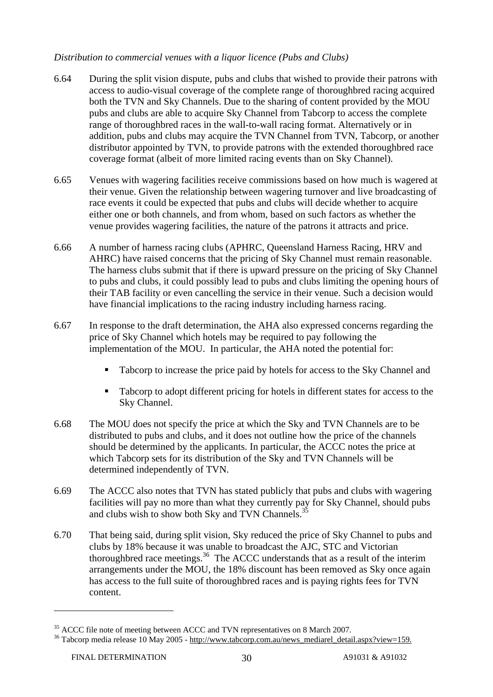#### *Distribution to commercial venues with a liquor licence (Pubs and Clubs)*

- 6.64 During the split vision dispute, pubs and clubs that wished to provide their patrons with access to audio-visual coverage of the complete range of thoroughbred racing acquired both the TVN and Sky Channels. Due to the sharing of content provided by the MOU pubs and clubs are able to acquire Sky Channel from Tabcorp to access the complete range of thoroughbred races in the wall-to-wall racing format. Alternatively or in addition, pubs and clubs may acquire the TVN Channel from TVN, Tabcorp, or another distributor appointed by TVN, to provide patrons with the extended thoroughbred race coverage format (albeit of more limited racing events than on Sky Channel).
- 6.65 Venues with wagering facilities receive commissions based on how much is wagered at their venue. Given the relationship between wagering turnover and live broadcasting of race events it could be expected that pubs and clubs will decide whether to acquire either one or both channels, and from whom, based on such factors as whether the venue provides wagering facilities, the nature of the patrons it attracts and price.
- 6.66 A number of harness racing clubs (APHRC, Queensland Harness Racing, HRV and AHRC) have raised concerns that the pricing of Sky Channel must remain reasonable. The harness clubs submit that if there is upward pressure on the pricing of Sky Channel to pubs and clubs, it could possibly lead to pubs and clubs limiting the opening hours of their TAB facility or even cancelling the service in their venue. Such a decision would have financial implications to the racing industry including harness racing.
- 6.67 In response to the draft determination, the AHA also expressed concerns regarding the price of Sky Channel which hotels may be required to pay following the implementation of the MOU. In particular, the AHA noted the potential for:
	- Tabcorp to increase the price paid by hotels for access to the Sky Channel and
	- Tabcorp to adopt different pricing for hotels in different states for access to the Sky Channel.
- 6.68 The MOU does not specify the price at which the Sky and TVN Channels are to be distributed to pubs and clubs, and it does not outline how the price of the channels should be determined by the applicants. In particular, the ACCC notes the price at which Tabcorp sets for its distribution of the Sky and TVN Channels will be determined independently of TVN.
- 6.69 The ACCC also notes that TVN has stated publicly that pubs and clubs with wagering facilities will pay no more than what they currently pay for Sky Channel, should pubs and clubs wish to show both Sky and TVN Channels.<sup>35</sup>
- 6.70 That being said, during split vision, Sky reduced the price of Sky Channel to pubs and clubs by 18% because it was unable to broadcast the AJC, STC and Victorian thoroughbred race meetings.36 The ACCC understands that as a result of the interim arrangements under the MOU, the 18% discount has been removed as Sky once again has access to the full suite of thoroughbred races and is paying rights fees for TVN content.

<sup>&</sup>lt;sup>35</sup> ACCC file note of meeting between ACCC and TVN representatives on 8 March 2007.<br><sup>36</sup> Tabcorp media release 10 May 2005 - http://www.tabcorp.com.au/news\_mediarel\_detail.aspx?view=159.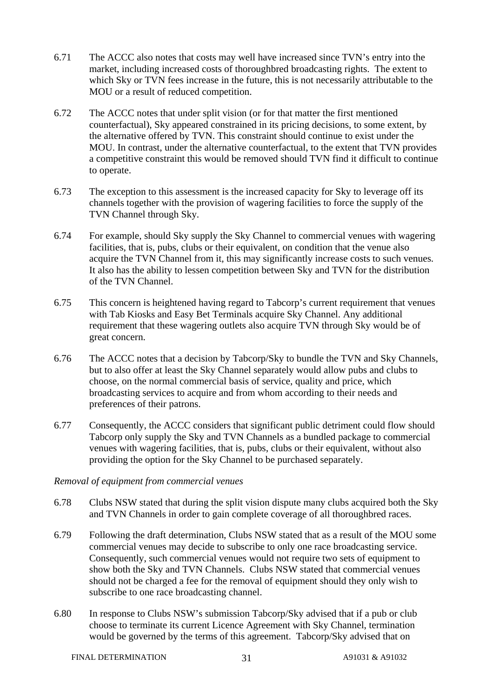- 6.71 The ACCC also notes that costs may well have increased since TVN's entry into the market, including increased costs of thoroughbred broadcasting rights. The extent to which Sky or TVN fees increase in the future, this is not necessarily attributable to the MOU or a result of reduced competition.
- 6.72 The ACCC notes that under split vision (or for that matter the first mentioned counterfactual), Sky appeared constrained in its pricing decisions, to some extent, by the alternative offered by TVN. This constraint should continue to exist under the MOU. In contrast, under the alternative counterfactual, to the extent that TVN provides a competitive constraint this would be removed should TVN find it difficult to continue to operate.
- 6.73 The exception to this assessment is the increased capacity for Sky to leverage off its channels together with the provision of wagering facilities to force the supply of the TVN Channel through Sky.
- 6.74 For example, should Sky supply the Sky Channel to commercial venues with wagering facilities, that is, pubs, clubs or their equivalent, on condition that the venue also acquire the TVN Channel from it, this may significantly increase costs to such venues. It also has the ability to lessen competition between Sky and TVN for the distribution of the TVN Channel.
- 6.75 This concern is heightened having regard to Tabcorp's current requirement that venues with Tab Kiosks and Easy Bet Terminals acquire Sky Channel. Any additional requirement that these wagering outlets also acquire TVN through Sky would be of great concern.
- 6.76 The ACCC notes that a decision by Tabcorp/Sky to bundle the TVN and Sky Channels, but to also offer at least the Sky Channel separately would allow pubs and clubs to choose, on the normal commercial basis of service, quality and price, which broadcasting services to acquire and from whom according to their needs and preferences of their patrons.
- 6.77 Consequently, the ACCC considers that significant public detriment could flow should Tabcorp only supply the Sky and TVN Channels as a bundled package to commercial venues with wagering facilities, that is, pubs, clubs or their equivalent, without also providing the option for the Sky Channel to be purchased separately.

#### *Removal of equipment from commercial venues*

- 6.78 Clubs NSW stated that during the split vision dispute many clubs acquired both the Sky and TVN Channels in order to gain complete coverage of all thoroughbred races.
- 6.79 Following the draft determination, Clubs NSW stated that as a result of the MOU some commercial venues may decide to subscribe to only one race broadcasting service. Consequently, such commercial venues would not require two sets of equipment to show both the Sky and TVN Channels. Clubs NSW stated that commercial venues should not be charged a fee for the removal of equipment should they only wish to subscribe to one race broadcasting channel.
- 6.80 In response to Clubs NSW's submission Tabcorp/Sky advised that if a pub or club choose to terminate its current Licence Agreement with Sky Channel, termination would be governed by the terms of this agreement. Tabcorp/Sky advised that on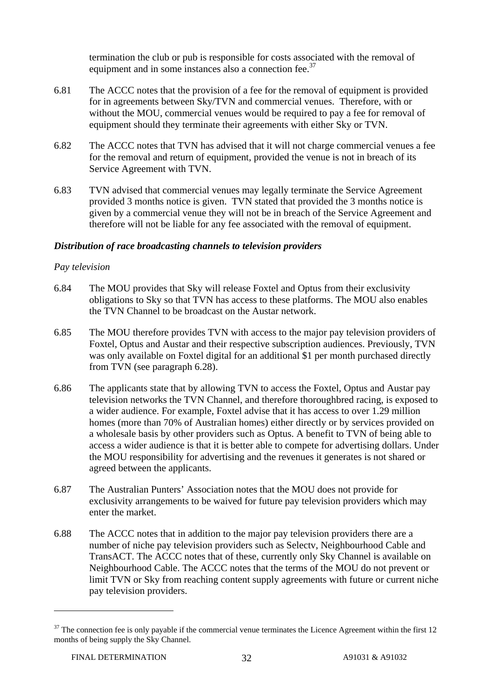termination the club or pub is responsible for costs associated with the removal of equipment and in some instances also a connection fee. $37$ 

- 6.81 The ACCC notes that the provision of a fee for the removal of equipment is provided for in agreements between Sky/TVN and commercial venues. Therefore, with or without the MOU, commercial venues would be required to pay a fee for removal of equipment should they terminate their agreements with either Sky or TVN.
- 6.82 The ACCC notes that TVN has advised that it will not charge commercial venues a fee for the removal and return of equipment, provided the venue is not in breach of its Service Agreement with TVN.
- 6.83 TVN advised that commercial venues may legally terminate the Service Agreement provided 3 months notice is given. TVN stated that provided the 3 months notice is given by a commercial venue they will not be in breach of the Service Agreement and therefore will not be liable for any fee associated with the removal of equipment.

#### *Distribution of race broadcasting channels to television providers*

#### *Pay television*

- 6.84 The MOU provides that Sky will release Foxtel and Optus from their exclusivity obligations to Sky so that TVN has access to these platforms. The MOU also enables the TVN Channel to be broadcast on the Austar network.
- 6.85 The MOU therefore provides TVN with access to the major pay television providers of Foxtel, Optus and Austar and their respective subscription audiences. Previously, TVN was only available on Foxtel digital for an additional \$1 per month purchased directly from TVN (see paragraph 6.28).
- 6.86 The applicants state that by allowing TVN to access the Foxtel, Optus and Austar pay television networks the TVN Channel, and therefore thoroughbred racing, is exposed to a wider audience. For example, Foxtel advise that it has access to over 1.29 million homes (more than 70% of Australian homes) either directly or by services provided on a wholesale basis by other providers such as Optus. A benefit to TVN of being able to access a wider audience is that it is better able to compete for advertising dollars. Under the MOU responsibility for advertising and the revenues it generates is not shared or agreed between the applicants.
- 6.87 The Australian Punters' Association notes that the MOU does not provide for exclusivity arrangements to be waived for future pay television providers which may enter the market.
- 6.88 The ACCC notes that in addition to the major pay television providers there are a number of niche pay television providers such as Selectv, Neighbourhood Cable and TransACT. The ACCC notes that of these, currently only Sky Channel is available on Neighbourhood Cable. The ACCC notes that the terms of the MOU do not prevent or limit TVN or Sky from reaching content supply agreements with future or current niche pay television providers.

 $37$  The connection fee is only payable if the commercial venue terminates the Licence Agreement within the first 12 months of being supply the Sky Channel.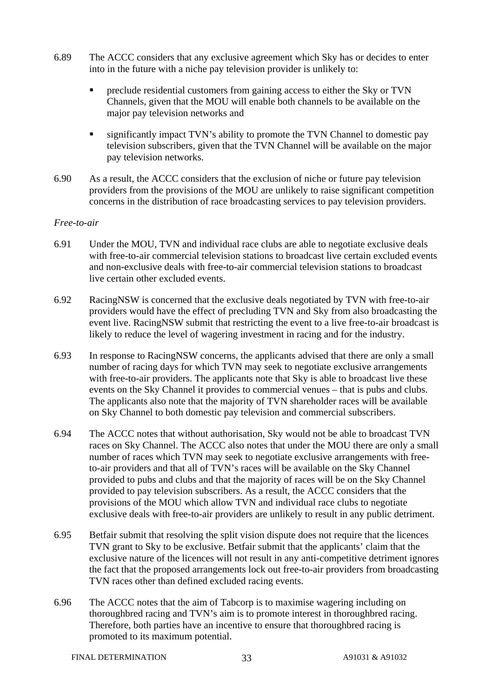- 6.89 The ACCC considers that any exclusive agreement which Sky has or decides to enter into in the future with a niche pay television provider is unlikely to:
	- preclude residential customers from gaining access to either the Sky or TVN Channels, given that the MOU will enable both channels to be available on the major pay television networks and
	- significantly impact TVN's ability to promote the TVN Channel to domestic pay television subscribers, given that the TVN Channel will be available on the major pay television networks.
- 6.90 As a result, the ACCC considers that the exclusion of niche or future pay television providers from the provisions of the MOU are unlikely to raise significant competition concerns in the distribution of race broadcasting services to pay television providers.

#### *Free-to-air*

- 6.91 Under the MOU, TVN and individual race clubs are able to negotiate exclusive deals with free-to-air commercial television stations to broadcast live certain excluded events and non-exclusive deals with free-to-air commercial television stations to broadcast live certain other excluded events.
- 6.92 RacingNSW is concerned that the exclusive deals negotiated by TVN with free-to-air providers would have the effect of precluding TVN and Sky from also broadcasting the event live. RacingNSW submit that restricting the event to a live free-to-air broadcast is likely to reduce the level of wagering investment in racing and for the industry.
- 6.93 In response to RacingNSW concerns, the applicants advised that there are only a small number of racing days for which TVN may seek to negotiate exclusive arrangements with free-to-air providers. The applicants note that Sky is able to broadcast live these events on the Sky Channel it provides to commercial venues – that is pubs and clubs. The applicants also note that the majority of TVN shareholder races will be available on Sky Channel to both domestic pay television and commercial subscribers.
- 6.94 The ACCC notes that without authorisation, Sky would not be able to broadcast TVN races on Sky Channel. The ACCC also notes that under the MOU there are only a small number of races which TVN may seek to negotiate exclusive arrangements with freeto-air providers and that all of TVN's races will be available on the Sky Channel provided to pubs and clubs and that the majority of races will be on the Sky Channel provided to pay television subscribers. As a result, the ACCC considers that the provisions of the MOU which allow TVN and individual race clubs to negotiate exclusive deals with free-to-air providers are unlikely to result in any public detriment.
- 6.95 Betfair submit that resolving the split vision dispute does not require that the licences TVN grant to Sky to be exclusive. Betfair submit that the applicants' claim that the exclusive nature of the licences will not result in any anti-competitive detriment ignores the fact that the proposed arrangements lock out free-to-air providers from broadcasting TVN races other than defined excluded racing events.
- 6.96 The ACCC notes that the aim of Tabcorp is to maximise wagering including on thoroughbred racing and TVN's aim is to promote interest in thoroughbred racing. Therefore, both parties have an incentive to ensure that thoroughbred racing is promoted to its maximum potential.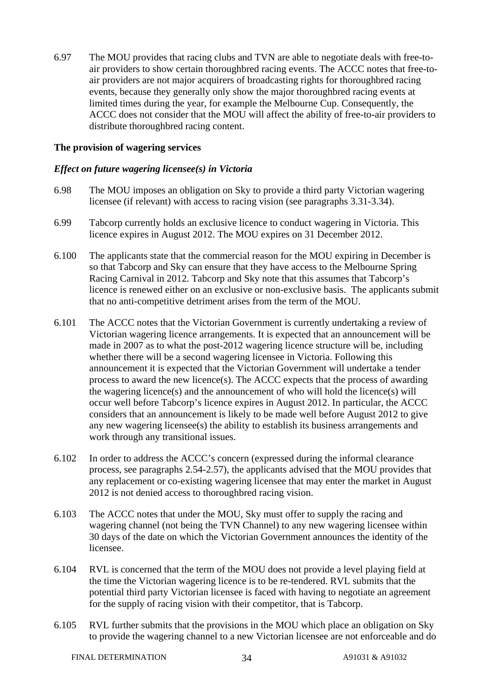6.97 The MOU provides that racing clubs and TVN are able to negotiate deals with free-toair providers to show certain thoroughbred racing events. The ACCC notes that free-toair providers are not major acquirers of broadcasting rights for thoroughbred racing events, because they generally only show the major thoroughbred racing events at limited times during the year, for example the Melbourne Cup. Consequently, the ACCC does not consider that the MOU will affect the ability of free-to-air providers to distribute thoroughbred racing content.

#### **The provision of wagering services**

#### *Effect on future wagering licensee(s) in Victoria*

- 6.98 The MOU imposes an obligation on Sky to provide a third party Victorian wagering licensee (if relevant) with access to racing vision (see paragraphs 3.31-3.34).
- 6.99 Tabcorp currently holds an exclusive licence to conduct wagering in Victoria. This licence expires in August 2012. The MOU expires on 31 December 2012.
- 6.100 The applicants state that the commercial reason for the MOU expiring in December is so that Tabcorp and Sky can ensure that they have access to the Melbourne Spring Racing Carnival in 2012. Tabcorp and Sky note that this assumes that Tabcorp's licence is renewed either on an exclusive or non-exclusive basis. The applicants submit that no anti-competitive detriment arises from the term of the MOU.
- 6.101 The ACCC notes that the Victorian Government is currently undertaking a review of Victorian wagering licence arrangements. It is expected that an announcement will be made in 2007 as to what the post-2012 wagering licence structure will be, including whether there will be a second wagering licensee in Victoria. Following this announcement it is expected that the Victorian Government will undertake a tender process to award the new licence(s). The ACCC expects that the process of awarding the wagering licence(s) and the announcement of who will hold the licence(s) will occur well before Tabcorp's licence expires in August 2012. In particular, the ACCC considers that an announcement is likely to be made well before August 2012 to give any new wagering licensee(s) the ability to establish its business arrangements and work through any transitional issues.
- 6.102 In order to address the ACCC's concern (expressed during the informal clearance process, see paragraphs 2.54-2.57), the applicants advised that the MOU provides that any replacement or co-existing wagering licensee that may enter the market in August 2012 is not denied access to thoroughbred racing vision.
- 6.103 The ACCC notes that under the MOU, Sky must offer to supply the racing and wagering channel (not being the TVN Channel) to any new wagering licensee within 30 days of the date on which the Victorian Government announces the identity of the licensee.
- 6.104 RVL is concerned that the term of the MOU does not provide a level playing field at the time the Victorian wagering licence is to be re-tendered. RVL submits that the potential third party Victorian licensee is faced with having to negotiate an agreement for the supply of racing vision with their competitor, that is Tabcorp.
- 6.105 RVL further submits that the provisions in the MOU which place an obligation on Sky to provide the wagering channel to a new Victorian licensee are not enforceable and do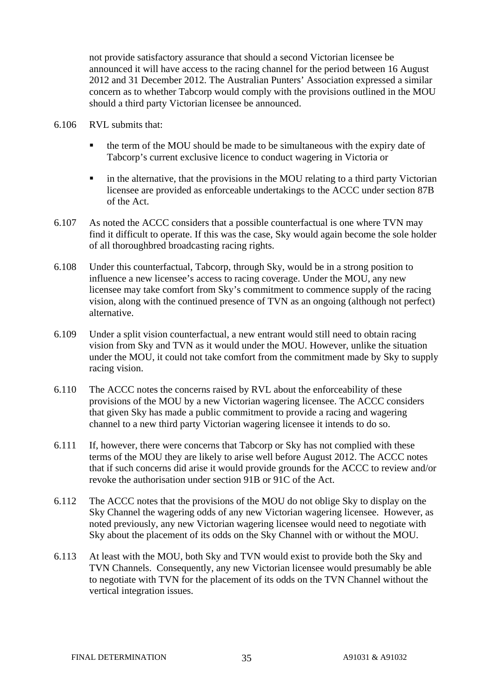not provide satisfactory assurance that should a second Victorian licensee be announced it will have access to the racing channel for the period between 16 August 2012 and 31 December 2012. The Australian Punters' Association expressed a similar concern as to whether Tabcorp would comply with the provisions outlined in the MOU should a third party Victorian licensee be announced.

- 6.106 RVL submits that:
	- the term of the MOU should be made to be simultaneous with the expiry date of Tabcorp's current exclusive licence to conduct wagering in Victoria or
	- in the alternative, that the provisions in the MOU relating to a third party Victorian licensee are provided as enforceable undertakings to the ACCC under section 87B of the Act.
- 6.107 As noted the ACCC considers that a possible counterfactual is one where TVN may find it difficult to operate. If this was the case, Sky would again become the sole holder of all thoroughbred broadcasting racing rights.
- 6.108 Under this counterfactual, Tabcorp, through Sky, would be in a strong position to influence a new licensee's access to racing coverage. Under the MOU, any new licensee may take comfort from Sky's commitment to commence supply of the racing vision, along with the continued presence of TVN as an ongoing (although not perfect) alternative.
- 6.109 Under a split vision counterfactual, a new entrant would still need to obtain racing vision from Sky and TVN as it would under the MOU. However, unlike the situation under the MOU, it could not take comfort from the commitment made by Sky to supply racing vision.
- 6.110 The ACCC notes the concerns raised by RVL about the enforceability of these provisions of the MOU by a new Victorian wagering licensee. The ACCC considers that given Sky has made a public commitment to provide a racing and wagering channel to a new third party Victorian wagering licensee it intends to do so.
- 6.111 If, however, there were concerns that Tabcorp or Sky has not complied with these terms of the MOU they are likely to arise well before August 2012. The ACCC notes that if such concerns did arise it would provide grounds for the ACCC to review and/or revoke the authorisation under section 91B or 91C of the Act.
- 6.112 The ACCC notes that the provisions of the MOU do not oblige Sky to display on the Sky Channel the wagering odds of any new Victorian wagering licensee. However, as noted previously, any new Victorian wagering licensee would need to negotiate with Sky about the placement of its odds on the Sky Channel with or without the MOU.
- 6.113 At least with the MOU, both Sky and TVN would exist to provide both the Sky and TVN Channels. Consequently, any new Victorian licensee would presumably be able to negotiate with TVN for the placement of its odds on the TVN Channel without the vertical integration issues.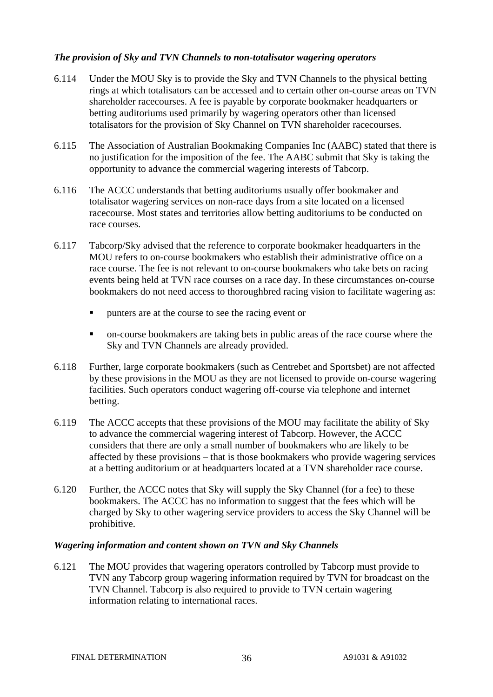#### *The provision of Sky and TVN Channels to non-totalisator wagering operators*

- 6.114 Under the MOU Sky is to provide the Sky and TVN Channels to the physical betting rings at which totalisators can be accessed and to certain other on-course areas on TVN shareholder racecourses. A fee is payable by corporate bookmaker headquarters or betting auditoriums used primarily by wagering operators other than licensed totalisators for the provision of Sky Channel on TVN shareholder racecourses.
- 6.115 The Association of Australian Bookmaking Companies Inc (AABC) stated that there is no justification for the imposition of the fee. The AABC submit that Sky is taking the opportunity to advance the commercial wagering interests of Tabcorp.
- 6.116 The ACCC understands that betting auditoriums usually offer bookmaker and totalisator wagering services on non-race days from a site located on a licensed racecourse. Most states and territories allow betting auditoriums to be conducted on race courses.
- 6.117 Tabcorp/Sky advised that the reference to corporate bookmaker headquarters in the MOU refers to on-course bookmakers who establish their administrative office on a race course. The fee is not relevant to on-course bookmakers who take bets on racing events being held at TVN race courses on a race day. In these circumstances on-course bookmakers do not need access to thoroughbred racing vision to facilitate wagering as:
	- punters are at the course to see the racing event or
	- on-course bookmakers are taking bets in public areas of the race course where the Sky and TVN Channels are already provided.
- 6.118 Further, large corporate bookmakers (such as Centrebet and Sportsbet) are not affected by these provisions in the MOU as they are not licensed to provide on-course wagering facilities. Such operators conduct wagering off-course via telephone and internet betting.
- 6.119 The ACCC accepts that these provisions of the MOU may facilitate the ability of Sky to advance the commercial wagering interest of Tabcorp. However, the ACCC considers that there are only a small number of bookmakers who are likely to be affected by these provisions – that is those bookmakers who provide wagering services at a betting auditorium or at headquarters located at a TVN shareholder race course.
- 6.120 Further, the ACCC notes that Sky will supply the Sky Channel (for a fee) to these bookmakers. The ACCC has no information to suggest that the fees which will be charged by Sky to other wagering service providers to access the Sky Channel will be prohibitive.

#### *Wagering information and content shown on TVN and Sky Channels*

6.121 The MOU provides that wagering operators controlled by Tabcorp must provide to TVN any Tabcorp group wagering information required by TVN for broadcast on the TVN Channel. Tabcorp is also required to provide to TVN certain wagering information relating to international races.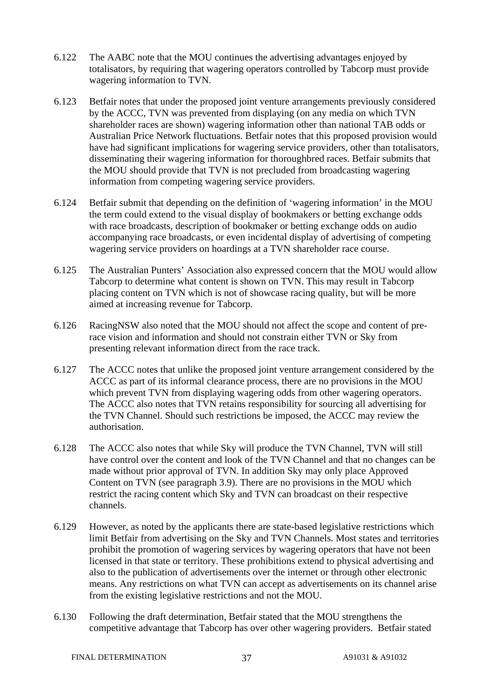- 6.122 The AABC note that the MOU continues the advertising advantages enjoyed by totalisators, by requiring that wagering operators controlled by Tabcorp must provide wagering information to TVN.
- 6.123 Betfair notes that under the proposed joint venture arrangements previously considered by the ACCC, TVN was prevented from displaying (on any media on which TVN shareholder races are shown) wagering information other than national TAB odds or Australian Price Network fluctuations. Betfair notes that this proposed provision would have had significant implications for wagering service providers, other than totalisators, disseminating their wagering information for thoroughbred races. Betfair submits that the MOU should provide that TVN is not precluded from broadcasting wagering information from competing wagering service providers.
- 6.124 Betfair submit that depending on the definition of 'wagering information' in the MOU the term could extend to the visual display of bookmakers or betting exchange odds with race broadcasts, description of bookmaker or betting exchange odds on audio accompanying race broadcasts, or even incidental display of advertising of competing wagering service providers on hoardings at a TVN shareholder race course.
- 6.125 The Australian Punters' Association also expressed concern that the MOU would allow Tabcorp to determine what content is shown on TVN. This may result in Tabcorp placing content on TVN which is not of showcase racing quality, but will be more aimed at increasing revenue for Tabcorp.
- 6.126 RacingNSW also noted that the MOU should not affect the scope and content of prerace vision and information and should not constrain either TVN or Sky from presenting relevant information direct from the race track.
- 6.127 The ACCC notes that unlike the proposed joint venture arrangement considered by the ACCC as part of its informal clearance process, there are no provisions in the MOU which prevent TVN from displaying wagering odds from other wagering operators. The ACCC also notes that TVN retains responsibility for sourcing all advertising for the TVN Channel. Should such restrictions be imposed, the ACCC may review the authorisation.
- 6.128 The ACCC also notes that while Sky will produce the TVN Channel, TVN will still have control over the content and look of the TVN Channel and that no changes can be made without prior approval of TVN. In addition Sky may only place Approved Content on TVN (see paragraph 3.9). There are no provisions in the MOU which restrict the racing content which Sky and TVN can broadcast on their respective channels.
- 6.129 However, as noted by the applicants there are state-based legislative restrictions which limit Betfair from advertising on the Sky and TVN Channels. Most states and territories prohibit the promotion of wagering services by wagering operators that have not been licensed in that state or territory. These prohibitions extend to physical advertising and also to the publication of advertisements over the internet or through other electronic means. Any restrictions on what TVN can accept as advertisements on its channel arise from the existing legislative restrictions and not the MOU.
- 6.130 Following the draft determination, Betfair stated that the MOU strengthens the competitive advantage that Tabcorp has over other wagering providers. Betfair stated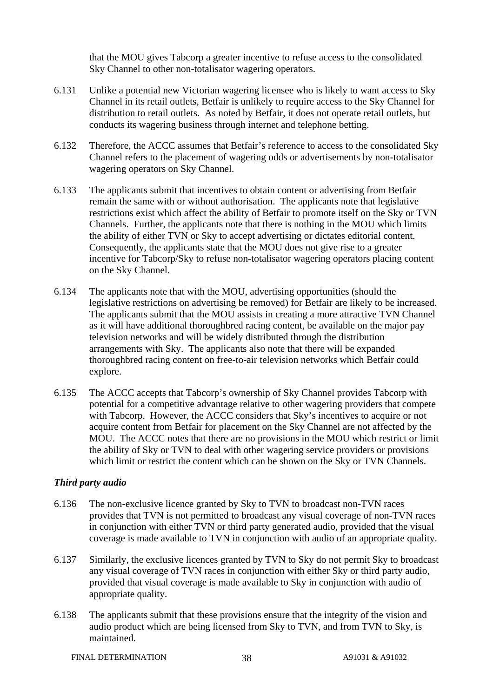that the MOU gives Tabcorp a greater incentive to refuse access to the consolidated Sky Channel to other non-totalisator wagering operators.

- 6.131 Unlike a potential new Victorian wagering licensee who is likely to want access to Sky Channel in its retail outlets, Betfair is unlikely to require access to the Sky Channel for distribution to retail outlets. As noted by Betfair, it does not operate retail outlets, but conducts its wagering business through internet and telephone betting.
- 6.132 Therefore, the ACCC assumes that Betfair's reference to access to the consolidated Sky Channel refers to the placement of wagering odds or advertisements by non-totalisator wagering operators on Sky Channel.
- 6.133 The applicants submit that incentives to obtain content or advertising from Betfair remain the same with or without authorisation. The applicants note that legislative restrictions exist which affect the ability of Betfair to promote itself on the Sky or TVN Channels. Further, the applicants note that there is nothing in the MOU which limits the ability of either TVN or Sky to accept advertising or dictates editorial content. Consequently, the applicants state that the MOU does not give rise to a greater incentive for Tabcorp/Sky to refuse non-totalisator wagering operators placing content on the Sky Channel.
- 6.134 The applicants note that with the MOU, advertising opportunities (should the legislative restrictions on advertising be removed) for Betfair are likely to be increased. The applicants submit that the MOU assists in creating a more attractive TVN Channel as it will have additional thoroughbred racing content, be available on the major pay television networks and will be widely distributed through the distribution arrangements with Sky. The applicants also note that there will be expanded thoroughbred racing content on free-to-air television networks which Betfair could explore.
- 6.135 The ACCC accepts that Tabcorp's ownership of Sky Channel provides Tabcorp with potential for a competitive advantage relative to other wagering providers that compete with Tabcorp. However, the ACCC considers that Sky's incentives to acquire or not acquire content from Betfair for placement on the Sky Channel are not affected by the MOU. The ACCC notes that there are no provisions in the MOU which restrict or limit the ability of Sky or TVN to deal with other wagering service providers or provisions which limit or restrict the content which can be shown on the Sky or TVN Channels.

#### *Third party audio*

- 6.136 The non-exclusive licence granted by Sky to TVN to broadcast non-TVN races provides that TVN is not permitted to broadcast any visual coverage of non-TVN races in conjunction with either TVN or third party generated audio, provided that the visual coverage is made available to TVN in conjunction with audio of an appropriate quality.
- 6.137 Similarly, the exclusive licences granted by TVN to Sky do not permit Sky to broadcast any visual coverage of TVN races in conjunction with either Sky or third party audio, provided that visual coverage is made available to Sky in conjunction with audio of appropriate quality.
- 6.138 The applicants submit that these provisions ensure that the integrity of the vision and audio product which are being licensed from Sky to TVN, and from TVN to Sky, is maintained.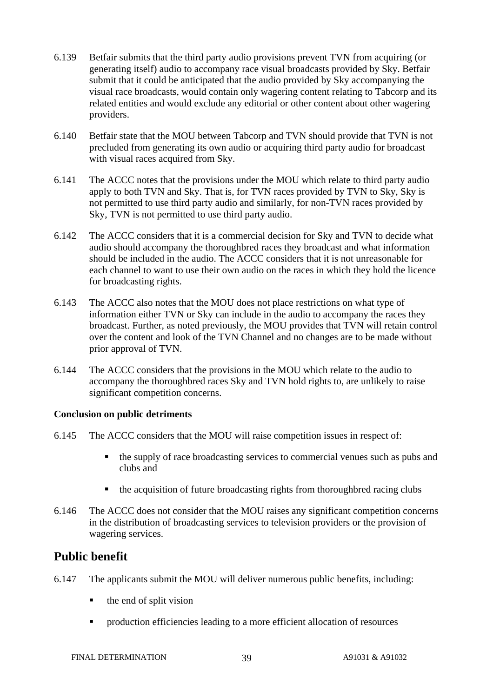- 6.139 Betfair submits that the third party audio provisions prevent TVN from acquiring (or generating itself) audio to accompany race visual broadcasts provided by Sky. Betfair submit that it could be anticipated that the audio provided by Sky accompanying the visual race broadcasts, would contain only wagering content relating to Tabcorp and its related entities and would exclude any editorial or other content about other wagering providers.
- 6.140 Betfair state that the MOU between Tabcorp and TVN should provide that TVN is not precluded from generating its own audio or acquiring third party audio for broadcast with visual races acquired from Sky.
- 6.141 The ACCC notes that the provisions under the MOU which relate to third party audio apply to both TVN and Sky. That is, for TVN races provided by TVN to Sky, Sky is not permitted to use third party audio and similarly, for non-TVN races provided by Sky, TVN is not permitted to use third party audio.
- 6.142 The ACCC considers that it is a commercial decision for Sky and TVN to decide what audio should accompany the thoroughbred races they broadcast and what information should be included in the audio. The ACCC considers that it is not unreasonable for each channel to want to use their own audio on the races in which they hold the licence for broadcasting rights.
- 6.143 The ACCC also notes that the MOU does not place restrictions on what type of information either TVN or Sky can include in the audio to accompany the races they broadcast. Further, as noted previously, the MOU provides that TVN will retain control over the content and look of the TVN Channel and no changes are to be made without prior approval of TVN.
- 6.144 The ACCC considers that the provisions in the MOU which relate to the audio to accompany the thoroughbred races Sky and TVN hold rights to, are unlikely to raise significant competition concerns.

#### **Conclusion on public detriments**

- 6.145 The ACCC considers that the MOU will raise competition issues in respect of:
	- $\blacksquare$  the supply of race broadcasting services to commercial venues such as pubs and clubs and
	- the acquisition of future broadcasting rights from thoroughbred racing clubs
- 6.146 The ACCC does not consider that the MOU raises any significant competition concerns in the distribution of broadcasting services to television providers or the provision of wagering services.

### **Public benefit**

- 6.147 The applicants submit the MOU will deliver numerous public benefits, including:
	- $\blacksquare$  the end of split vision
	- **PEDROG** Production efficiencies leading to a more efficient allocation of resources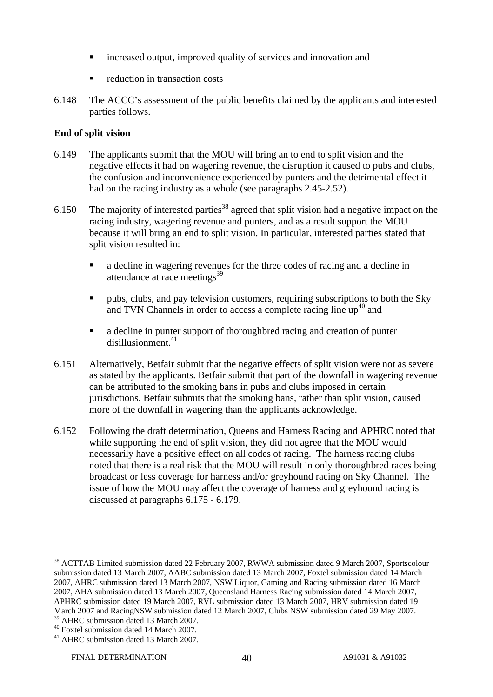- increased output, improved quality of services and innovation and
- reduction in transaction costs
- 6.148 The ACCC's assessment of the public benefits claimed by the applicants and interested parties follows.

#### **End of split vision**

- 6.149 The applicants submit that the MOU will bring an to end to split vision and the negative effects it had on wagering revenue, the disruption it caused to pubs and clubs, the confusion and inconvenience experienced by punters and the detrimental effect it had on the racing industry as a whole (see paragraphs 2.45-2.52).
- 6.150 The majority of interested parties<sup>38</sup> agreed that split vision had a negative impact on the racing industry, wagering revenue and punters, and as a result support the MOU because it will bring an end to split vision. In particular, interested parties stated that split vision resulted in:
	- a decline in wagering revenues for the three codes of racing and a decline in attendance at race meetings<sup>39</sup>
	- pubs, clubs, and pay television customers, requiring subscriptions to both the Sky and TVN Channels in order to access a complete racing line  $\mu^{40}$  and
	- a decline in punter support of thoroughbred racing and creation of punter disillusionment.41
- 6.151 Alternatively, Betfair submit that the negative effects of split vision were not as severe as stated by the applicants. Betfair submit that part of the downfall in wagering revenue can be attributed to the smoking bans in pubs and clubs imposed in certain jurisdictions. Betfair submits that the smoking bans, rather than split vision, caused more of the downfall in wagering than the applicants acknowledge.
- 6.152 Following the draft determination, Queensland Harness Racing and APHRC noted that while supporting the end of split vision, they did not agree that the MOU would necessarily have a positive effect on all codes of racing. The harness racing clubs noted that there is a real risk that the MOU will result in only thoroughbred races being broadcast or less coverage for harness and/or greyhound racing on Sky Channel. The issue of how the MOU may affect the coverage of harness and greyhound racing is discussed at paragraphs 6.175 - 6.179.

<sup>&</sup>lt;sup>38</sup> ACTTAB Limited submission dated 22 February 2007, RWWA submission dated 9 March 2007, Sportscolour submission dated 13 March 2007, AABC submission dated 13 March 2007, Foxtel submission dated 14 March 2007, AHRC submission dated 13 March 2007, NSW Liquor, Gaming and Racing submission dated 16 March 2007, AHA submission dated 13 March 2007, Queensland Harness Racing submission dated 14 March 2007, APHRC submission dated 19 March 2007, RVL submission dated 13 March 2007, HRV submission dated 19 March 2007 and RacingNSW submission dated 12 March 2007, Clubs NSW submission dated 29 May 2007. <sup>39</sup> AHRC submission dated 13 March 2007.

<sup>40</sup> Foxtel submission dated 14 March 2007.

<sup>41</sup> AHRC submission dated 13 March 2007.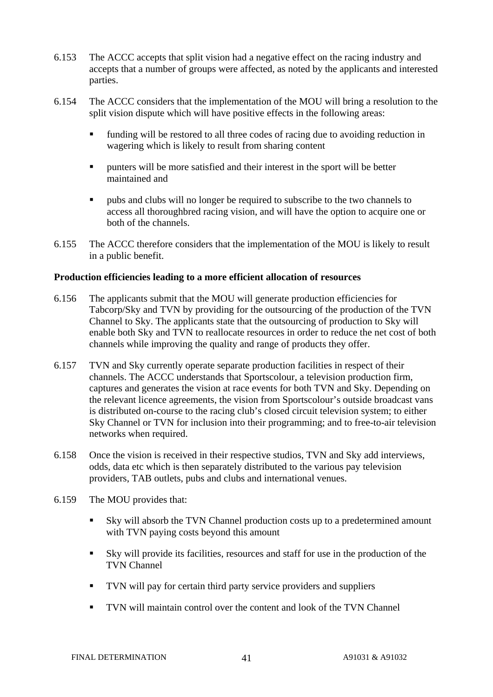- 6.153 The ACCC accepts that split vision had a negative effect on the racing industry and accepts that a number of groups were affected, as noted by the applicants and interested parties.
- 6.154 The ACCC considers that the implementation of the MOU will bring a resolution to the split vision dispute which will have positive effects in the following areas:
	- funding will be restored to all three codes of racing due to avoiding reduction in wagering which is likely to result from sharing content
	- punters will be more satisfied and their interest in the sport will be better maintained and
	- pubs and clubs will no longer be required to subscribe to the two channels to access all thoroughbred racing vision, and will have the option to acquire one or both of the channels.
- 6.155 The ACCC therefore considers that the implementation of the MOU is likely to result in a public benefit.

#### **Production efficiencies leading to a more efficient allocation of resources**

- 6.156 The applicants submit that the MOU will generate production efficiencies for Tabcorp/Sky and TVN by providing for the outsourcing of the production of the TVN Channel to Sky. The applicants state that the outsourcing of production to Sky will enable both Sky and TVN to reallocate resources in order to reduce the net cost of both channels while improving the quality and range of products they offer.
- 6.157 TVN and Sky currently operate separate production facilities in respect of their channels. The ACCC understands that Sportscolour, a television production firm, captures and generates the vision at race events for both TVN and Sky. Depending on the relevant licence agreements, the vision from Sportscolour's outside broadcast vans is distributed on-course to the racing club's closed circuit television system; to either Sky Channel or TVN for inclusion into their programming; and to free-to-air television networks when required.
- 6.158 Once the vision is received in their respective studios, TVN and Sky add interviews, odds, data etc which is then separately distributed to the various pay television providers, TAB outlets, pubs and clubs and international venues.
- 6.159 The MOU provides that:
	- Sky will absorb the TVN Channel production costs up to a predetermined amount with TVN paying costs beyond this amount
	- Sky will provide its facilities, resources and staff for use in the production of the TVN Channel
	- TVN will pay for certain third party service providers and suppliers
	- TVN will maintain control over the content and look of the TVN Channel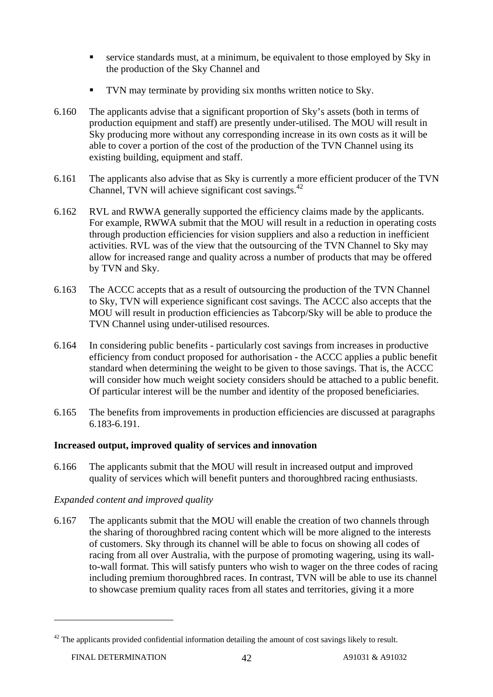- service standards must, at a minimum, be equivalent to those employed by Sky in the production of the Sky Channel and
- TVN may terminate by providing six months written notice to Sky.
- 6.160 The applicants advise that a significant proportion of Sky's assets (both in terms of production equipment and staff) are presently under-utilised. The MOU will result in Sky producing more without any corresponding increase in its own costs as it will be able to cover a portion of the cost of the production of the TVN Channel using its existing building, equipment and staff.
- 6.161 The applicants also advise that as Sky is currently a more efficient producer of the TVN Channel, TVN will achieve significant cost savings.<sup>42</sup>
- 6.162 RVL and RWWA generally supported the efficiency claims made by the applicants. For example, RWWA submit that the MOU will result in a reduction in operating costs through production efficiencies for vision suppliers and also a reduction in inefficient activities. RVL was of the view that the outsourcing of the TVN Channel to Sky may allow for increased range and quality across a number of products that may be offered by TVN and Sky.
- 6.163 The ACCC accepts that as a result of outsourcing the production of the TVN Channel to Sky, TVN will experience significant cost savings. The ACCC also accepts that the MOU will result in production efficiencies as Tabcorp/Sky will be able to produce the TVN Channel using under-utilised resources.
- 6.164 In considering public benefits particularly cost savings from increases in productive efficiency from conduct proposed for authorisation - the ACCC applies a public benefit standard when determining the weight to be given to those savings. That is, the ACCC will consider how much weight society considers should be attached to a public benefit. Of particular interest will be the number and identity of the proposed beneficiaries.
- 6.165 The benefits from improvements in production efficiencies are discussed at paragraphs 6.183-6.191.

### **Increased output, improved quality of services and innovation**

6.166 The applicants submit that the MOU will result in increased output and improved quality of services which will benefit punters and thoroughbred racing enthusiasts.

### *Expanded content and improved quality*

6.167 The applicants submit that the MOU will enable the creation of two channels through the sharing of thoroughbred racing content which will be more aligned to the interests of customers. Sky through its channel will be able to focus on showing all codes of racing from all over Australia, with the purpose of promoting wagering, using its wallto-wall format. This will satisfy punters who wish to wager on the three codes of racing including premium thoroughbred races. In contrast, TVN will be able to use its channel to showcase premium quality races from all states and territories, giving it a more

 $42$  The applicants provided confidential information detailing the amount of cost savings likely to result.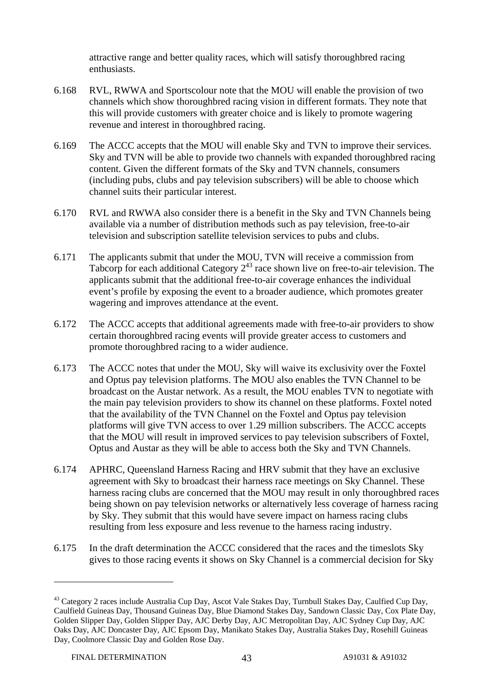attractive range and better quality races, which will satisfy thoroughbred racing enthusiasts.

- 6.168 RVL, RWWA and Sportscolour note that the MOU will enable the provision of two channels which show thoroughbred racing vision in different formats. They note that this will provide customers with greater choice and is likely to promote wagering revenue and interest in thoroughbred racing.
- 6.169 The ACCC accepts that the MOU will enable Sky and TVN to improve their services. Sky and TVN will be able to provide two channels with expanded thoroughbred racing content. Given the different formats of the Sky and TVN channels, consumers (including pubs, clubs and pay television subscribers) will be able to choose which channel suits their particular interest.
- 6.170 RVL and RWWA also consider there is a benefit in the Sky and TVN Channels being available via a number of distribution methods such as pay television, free-to-air television and subscription satellite television services to pubs and clubs.
- 6.171 The applicants submit that under the MOU, TVN will receive a commission from Tabcorp for each additional Category  $2^{43}$  race shown live on free-to-air television. The applicants submit that the additional free-to-air coverage enhances the individual event's profile by exposing the event to a broader audience, which promotes greater wagering and improves attendance at the event.
- 6.172 The ACCC accepts that additional agreements made with free-to-air providers to show certain thoroughbred racing events will provide greater access to customers and promote thoroughbred racing to a wider audience.
- 6.173 The ACCC notes that under the MOU, Sky will waive its exclusivity over the Foxtel and Optus pay television platforms. The MOU also enables the TVN Channel to be broadcast on the Austar network. As a result, the MOU enables TVN to negotiate with the main pay television providers to show its channel on these platforms. Foxtel noted that the availability of the TVN Channel on the Foxtel and Optus pay television platforms will give TVN access to over 1.29 million subscribers. The ACCC accepts that the MOU will result in improved services to pay television subscribers of Foxtel, Optus and Austar as they will be able to access both the Sky and TVN Channels.
- 6.174 APHRC, Queensland Harness Racing and HRV submit that they have an exclusive agreement with Sky to broadcast their harness race meetings on Sky Channel. These harness racing clubs are concerned that the MOU may result in only thoroughbred races being shown on pay television networks or alternatively less coverage of harness racing by Sky. They submit that this would have severe impact on harness racing clubs resulting from less exposure and less revenue to the harness racing industry.
- 6.175 In the draft determination the ACCC considered that the races and the timeslots Sky gives to those racing events it shows on Sky Channel is a commercial decision for Sky

<sup>&</sup>lt;sup>43</sup> Category 2 races include Australia Cup Day, Ascot Vale Stakes Day, Turnbull Stakes Day, Caulfied Cup Day, Caulfield Guineas Day, Thousand Guineas Day, Blue Diamond Stakes Day, Sandown Classic Day, Cox Plate Day, Golden Slipper Day, Golden Slipper Day, AJC Derby Day, AJC Metropolitan Day, AJC Sydney Cup Day, AJC Oaks Day, AJC Doncaster Day, AJC Epsom Day, Manikato Stakes Day, Australia Stakes Day, Rosehill Guineas Day, Coolmore Classic Day and Golden Rose Day.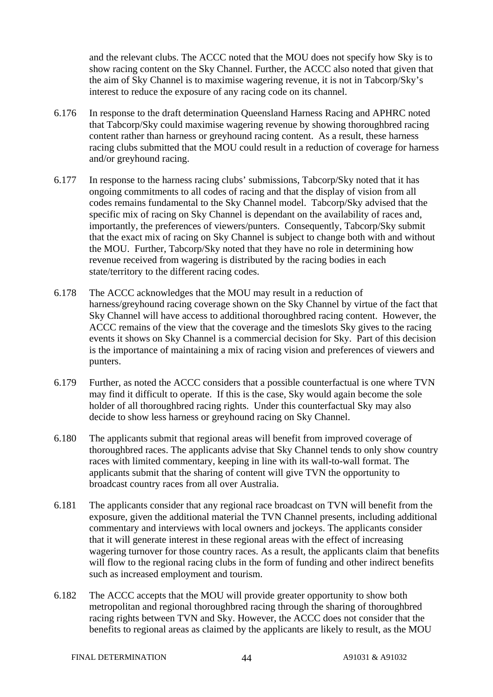and the relevant clubs. The ACCC noted that the MOU does not specify how Sky is to show racing content on the Sky Channel. Further, the ACCC also noted that given that the aim of Sky Channel is to maximise wagering revenue, it is not in Tabcorp/Sky's interest to reduce the exposure of any racing code on its channel.

- 6.176 In response to the draft determination Queensland Harness Racing and APHRC noted that Tabcorp/Sky could maximise wagering revenue by showing thoroughbred racing content rather than harness or greyhound racing content. As a result, these harness racing clubs submitted that the MOU could result in a reduction of coverage for harness and/or greyhound racing.
- 6.177 In response to the harness racing clubs' submissions, Tabcorp/Sky noted that it has ongoing commitments to all codes of racing and that the display of vision from all codes remains fundamental to the Sky Channel model. Tabcorp/Sky advised that the specific mix of racing on Sky Channel is dependant on the availability of races and, importantly, the preferences of viewers/punters. Consequently, Tabcorp/Sky submit that the exact mix of racing on Sky Channel is subject to change both with and without the MOU. Further, Tabcorp/Sky noted that they have no role in determining how revenue received from wagering is distributed by the racing bodies in each state/territory to the different racing codes.
- 6.178 The ACCC acknowledges that the MOU may result in a reduction of harness/greyhound racing coverage shown on the Sky Channel by virtue of the fact that Sky Channel will have access to additional thoroughbred racing content. However, the ACCC remains of the view that the coverage and the timeslots Sky gives to the racing events it shows on Sky Channel is a commercial decision for Sky. Part of this decision is the importance of maintaining a mix of racing vision and preferences of viewers and punters.
- 6.179 Further, as noted the ACCC considers that a possible counterfactual is one where TVN may find it difficult to operate. If this is the case, Sky would again become the sole holder of all thoroughbred racing rights. Under this counterfactual Sky may also decide to show less harness or greyhound racing on Sky Channel.
- 6.180 The applicants submit that regional areas will benefit from improved coverage of thoroughbred races. The applicants advise that Sky Channel tends to only show country races with limited commentary, keeping in line with its wall-to-wall format. The applicants submit that the sharing of content will give TVN the opportunity to broadcast country races from all over Australia.
- 6.181 The applicants consider that any regional race broadcast on TVN will benefit from the exposure, given the additional material the TVN Channel presents, including additional commentary and interviews with local owners and jockeys. The applicants consider that it will generate interest in these regional areas with the effect of increasing wagering turnover for those country races. As a result, the applicants claim that benefits will flow to the regional racing clubs in the form of funding and other indirect benefits such as increased employment and tourism.
- 6.182 The ACCC accepts that the MOU will provide greater opportunity to show both metropolitan and regional thoroughbred racing through the sharing of thoroughbred racing rights between TVN and Sky. However, the ACCC does not consider that the benefits to regional areas as claimed by the applicants are likely to result, as the MOU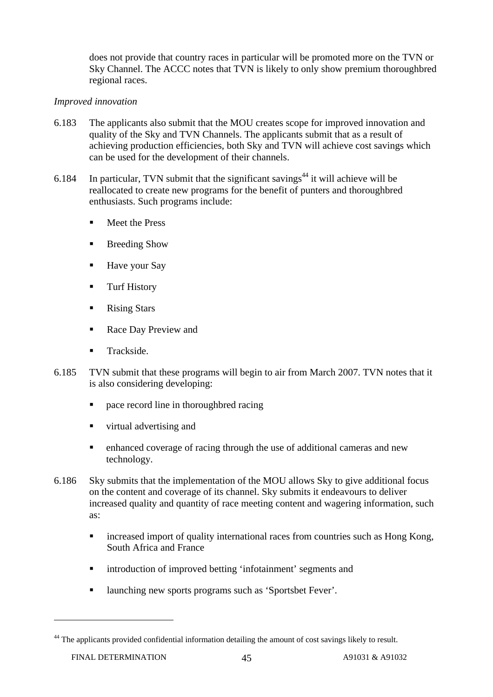does not provide that country races in particular will be promoted more on the TVN or Sky Channel. The ACCC notes that TVN is likely to only show premium thoroughbred regional races.

#### *Improved innovation*

- 6.183 The applicants also submit that the MOU creates scope for improved innovation and quality of the Sky and TVN Channels. The applicants submit that as a result of achieving production efficiencies, both Sky and TVN will achieve cost savings which can be used for the development of their channels.
- 6.184 In particular, TVN submit that the significant savings<sup>44</sup> it will achieve will be reallocated to create new programs for the benefit of punters and thoroughbred enthusiasts. Such programs include:
	- Meet the Press
	- Breeding Show
	- Have your Say
	- **Turf History**
	- Rising Stars
	- Race Day Preview and
	- Trackside.
- 6.185 TVN submit that these programs will begin to air from March 2007. TVN notes that it is also considering developing:
	- pace record line in thoroughbred racing
	- virtual advertising and
	- enhanced coverage of racing through the use of additional cameras and new technology.
- 6.186 Sky submits that the implementation of the MOU allows Sky to give additional focus on the content and coverage of its channel. Sky submits it endeavours to deliver increased quality and quantity of race meeting content and wagering information, such as:
	- **Example 1** increased import of quality international races from countries such as Hong Kong, South Africa and France
	- introduction of improved betting 'infotainment' segments and
	- launching new sports programs such as 'Sportsbet Fever'.

<sup>&</sup>lt;sup>44</sup> The applicants provided confidential information detailing the amount of cost savings likely to result.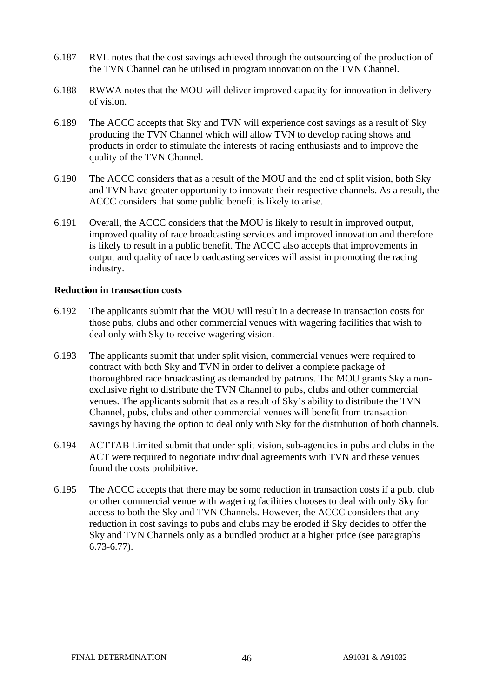- 6.187 RVL notes that the cost savings achieved through the outsourcing of the production of the TVN Channel can be utilised in program innovation on the TVN Channel.
- 6.188 RWWA notes that the MOU will deliver improved capacity for innovation in delivery of vision.
- 6.189 The ACCC accepts that Sky and TVN will experience cost savings as a result of Sky producing the TVN Channel which will allow TVN to develop racing shows and products in order to stimulate the interests of racing enthusiasts and to improve the quality of the TVN Channel.
- 6.190 The ACCC considers that as a result of the MOU and the end of split vision, both Sky and TVN have greater opportunity to innovate their respective channels. As a result, the ACCC considers that some public benefit is likely to arise.
- 6.191 Overall, the ACCC considers that the MOU is likely to result in improved output, improved quality of race broadcasting services and improved innovation and therefore is likely to result in a public benefit. The ACCC also accepts that improvements in output and quality of race broadcasting services will assist in promoting the racing industry.

#### **Reduction in transaction costs**

- 6.192 The applicants submit that the MOU will result in a decrease in transaction costs for those pubs, clubs and other commercial venues with wagering facilities that wish to deal only with Sky to receive wagering vision.
- 6.193 The applicants submit that under split vision, commercial venues were required to contract with both Sky and TVN in order to deliver a complete package of thoroughbred race broadcasting as demanded by patrons. The MOU grants Sky a nonexclusive right to distribute the TVN Channel to pubs, clubs and other commercial venues. The applicants submit that as a result of Sky's ability to distribute the TVN Channel, pubs, clubs and other commercial venues will benefit from transaction savings by having the option to deal only with Sky for the distribution of both channels.
- 6.194 ACTTAB Limited submit that under split vision, sub-agencies in pubs and clubs in the ACT were required to negotiate individual agreements with TVN and these venues found the costs prohibitive.
- 6.195 The ACCC accepts that there may be some reduction in transaction costs if a pub, club or other commercial venue with wagering facilities chooses to deal with only Sky for access to both the Sky and TVN Channels. However, the ACCC considers that any reduction in cost savings to pubs and clubs may be eroded if Sky decides to offer the Sky and TVN Channels only as a bundled product at a higher price (see paragraphs 6.73-6.77).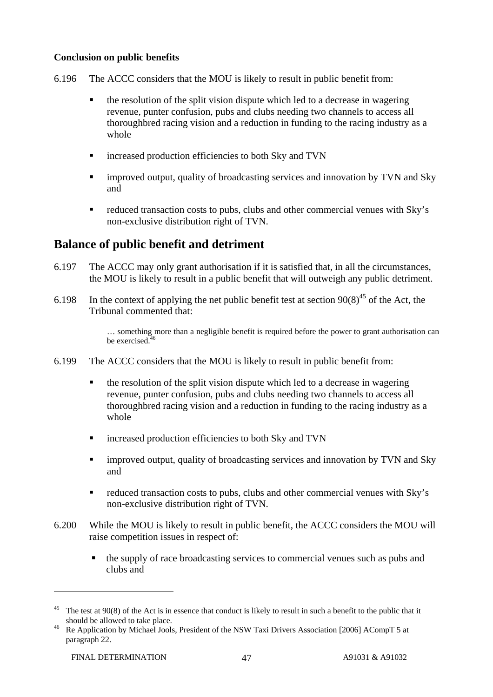#### **Conclusion on public benefits**

- 6.196 The ACCC considers that the MOU is likely to result in public benefit from:
	- the resolution of the split vision dispute which led to a decrease in wagering revenue, punter confusion, pubs and clubs needing two channels to access all thoroughbred racing vision and a reduction in funding to the racing industry as a whole
	- increased production efficiencies to both Sky and TVN
	- improved output, quality of broadcasting services and innovation by TVN and Sky and
	- reduced transaction costs to pubs, clubs and other commercial venues with Sky's non-exclusive distribution right of TVN.

### **Balance of public benefit and detriment**

- 6.197 The ACCC may only grant authorisation if it is satisfied that, in all the circumstances, the MOU is likely to result in a public benefit that will outweigh any public detriment.
- 6.198 In the context of applying the net public benefit test at section  $90(8)^{45}$  of the Act, the Tribunal commented that:

… something more than a negligible benefit is required before the power to grant authorisation can be exercised.<sup>46</sup>

- 6.199 The ACCC considers that the MOU is likely to result in public benefit from:
	- the resolution of the split vision dispute which led to a decrease in wagering revenue, punter confusion, pubs and clubs needing two channels to access all thoroughbred racing vision and a reduction in funding to the racing industry as a whole
	- increased production efficiencies to both Sky and TVN
	- **EXECUTE:** improved output, quality of broadcasting services and innovation by TVN and Sky and
	- reduced transaction costs to pubs, clubs and other commercial venues with Sky's non-exclusive distribution right of TVN.
- 6.200 While the MOU is likely to result in public benefit, the ACCC considers the MOU will raise competition issues in respect of:
	- the supply of race broadcasting services to commercial venues such as pubs and clubs and

The test at 90(8) of the Act is in essence that conduct is likely to result in such a benefit to the public that it

should be allowed to take place.<br><sup>46</sup> Re Application by Michael Jools, President of the NSW Taxi Drivers Association [2006] ACompT 5 at paragraph 22.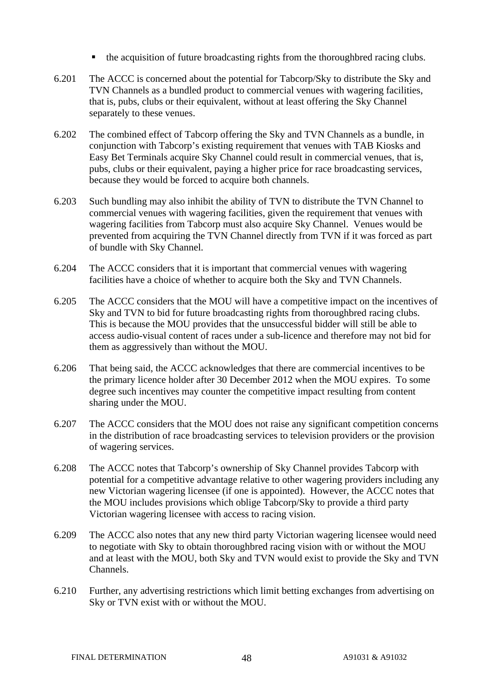- the acquisition of future broadcasting rights from the thoroughbred racing clubs.
- 6.201 The ACCC is concerned about the potential for Tabcorp/Sky to distribute the Sky and TVN Channels as a bundled product to commercial venues with wagering facilities, that is, pubs, clubs or their equivalent, without at least offering the Sky Channel separately to these venues.
- 6.202 The combined effect of Tabcorp offering the Sky and TVN Channels as a bundle, in conjunction with Tabcorp's existing requirement that venues with TAB Kiosks and Easy Bet Terminals acquire Sky Channel could result in commercial venues, that is, pubs, clubs or their equivalent, paying a higher price for race broadcasting services, because they would be forced to acquire both channels.
- 6.203 Such bundling may also inhibit the ability of TVN to distribute the TVN Channel to commercial venues with wagering facilities, given the requirement that venues with wagering facilities from Tabcorp must also acquire Sky Channel. Venues would be prevented from acquiring the TVN Channel directly from TVN if it was forced as part of bundle with Sky Channel.
- 6.204 The ACCC considers that it is important that commercial venues with wagering facilities have a choice of whether to acquire both the Sky and TVN Channels.
- 6.205 The ACCC considers that the MOU will have a competitive impact on the incentives of Sky and TVN to bid for future broadcasting rights from thoroughbred racing clubs. This is because the MOU provides that the unsuccessful bidder will still be able to access audio-visual content of races under a sub-licence and therefore may not bid for them as aggressively than without the MOU.
- 6.206 That being said, the ACCC acknowledges that there are commercial incentives to be the primary licence holder after 30 December 2012 when the MOU expires. To some degree such incentives may counter the competitive impact resulting from content sharing under the MOU.
- 6.207 The ACCC considers that the MOU does not raise any significant competition concerns in the distribution of race broadcasting services to television providers or the provision of wagering services.
- 6.208 The ACCC notes that Tabcorp's ownership of Sky Channel provides Tabcorp with potential for a competitive advantage relative to other wagering providers including any new Victorian wagering licensee (if one is appointed). However, the ACCC notes that the MOU includes provisions which oblige Tabcorp/Sky to provide a third party Victorian wagering licensee with access to racing vision.
- 6.209 The ACCC also notes that any new third party Victorian wagering licensee would need to negotiate with Sky to obtain thoroughbred racing vision with or without the MOU and at least with the MOU, both Sky and TVN would exist to provide the Sky and TVN Channels.
- 6.210 Further, any advertising restrictions which limit betting exchanges from advertising on Sky or TVN exist with or without the MOU.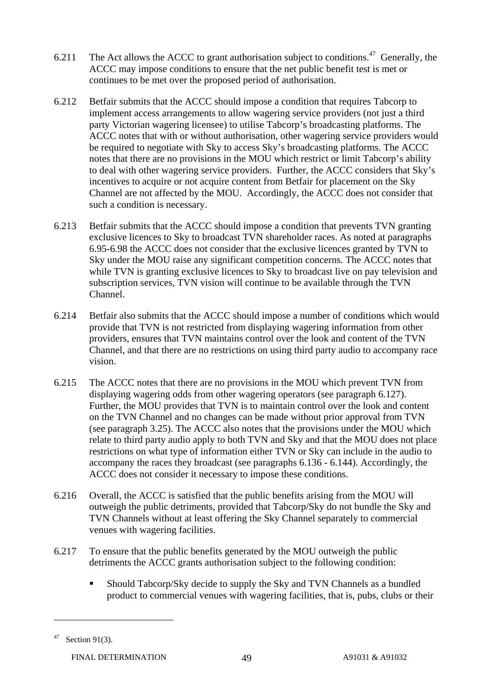- 6.211 The Act allows the ACCC to grant authorisation subject to conditions.<sup>47</sup> Generally, the ACCC may impose conditions to ensure that the net public benefit test is met or continues to be met over the proposed period of authorisation.
- 6.212 Betfair submits that the ACCC should impose a condition that requires Tabcorp to implement access arrangements to allow wagering service providers (not just a third party Victorian wagering licensee) to utilise Tabcorp's broadcasting platforms. The ACCC notes that with or without authorisation, other wagering service providers would be required to negotiate with Sky to access Sky's broadcasting platforms. The ACCC notes that there are no provisions in the MOU which restrict or limit Tabcorp's ability to deal with other wagering service providers. Further, the ACCC considers that Sky's incentives to acquire or not acquire content from Betfair for placement on the Sky Channel are not affected by the MOU. Accordingly, the ACCC does not consider that such a condition is necessary.
- 6.213 Betfair submits that the ACCC should impose a condition that prevents TVN granting exclusive licences to Sky to broadcast TVN shareholder races. As noted at paragraphs 6.95-6.98 the ACCC does not consider that the exclusive licences granted by TVN to Sky under the MOU raise any significant competition concerns. The ACCC notes that while TVN is granting exclusive licences to Sky to broadcast live on pay television and subscription services, TVN vision will continue to be available through the TVN Channel.
- 6.214 Betfair also submits that the ACCC should impose a number of conditions which would provide that TVN is not restricted from displaying wagering information from other providers, ensures that TVN maintains control over the look and content of the TVN Channel, and that there are no restrictions on using third party audio to accompany race vision.
- 6.215 The ACCC notes that there are no provisions in the MOU which prevent TVN from displaying wagering odds from other wagering operators (see paragraph 6.127). Further, the MOU provides that TVN is to maintain control over the look and content on the TVN Channel and no changes can be made without prior approval from TVN (see paragraph 3.25). The ACCC also notes that the provisions under the MOU which relate to third party audio apply to both TVN and Sky and that the MOU does not place restrictions on what type of information either TVN or Sky can include in the audio to accompany the races they broadcast (see paragraphs 6.136 - 6.144). Accordingly, the ACCC does not consider it necessary to impose these conditions.
- 6.216 Overall, the ACCC is satisfied that the public benefits arising from the MOU will outweigh the public detriments, provided that Tabcorp/Sky do not bundle the Sky and TVN Channels without at least offering the Sky Channel separately to commercial venues with wagering facilities.
- 6.217 To ensure that the public benefits generated by the MOU outweigh the public detriments the ACCC grants authorisation subject to the following condition:
	- Should Tabcorp/Sky decide to supply the Sky and TVN Channels as a bundled product to commercial venues with wagering facilities, that is, pubs, clubs or their

 $47$  Section 91(3).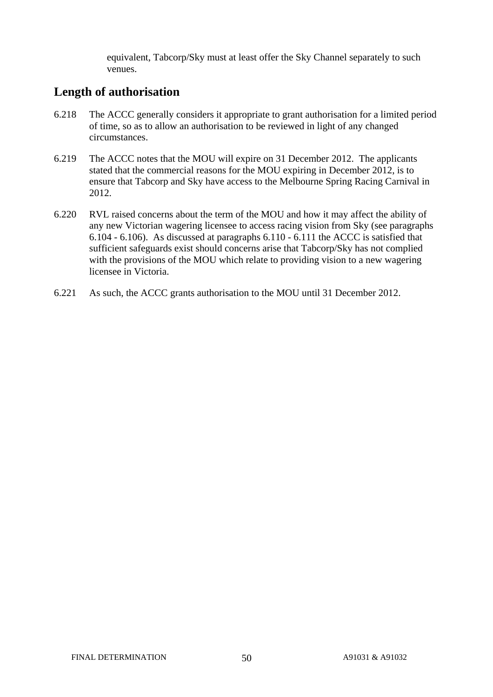equivalent, Tabcorp/Sky must at least offer the Sky Channel separately to such venues.

### **Length of authorisation**

- 6.218 The ACCC generally considers it appropriate to grant authorisation for a limited period of time, so as to allow an authorisation to be reviewed in light of any changed circumstances.
- 6.219 The ACCC notes that the MOU will expire on 31 December 2012. The applicants stated that the commercial reasons for the MOU expiring in December 2012, is to ensure that Tabcorp and Sky have access to the Melbourne Spring Racing Carnival in 2012.
- 6.220 RVL raised concerns about the term of the MOU and how it may affect the ability of any new Victorian wagering licensee to access racing vision from Sky (see paragraphs 6.104 - 6.106). As discussed at paragraphs 6.110 - 6.111 the ACCC is satisfied that sufficient safeguards exist should concerns arise that Tabcorp/Sky has not complied with the provisions of the MOU which relate to providing vision to a new wagering licensee in Victoria.
- 6.221 As such, the ACCC grants authorisation to the MOU until 31 December 2012.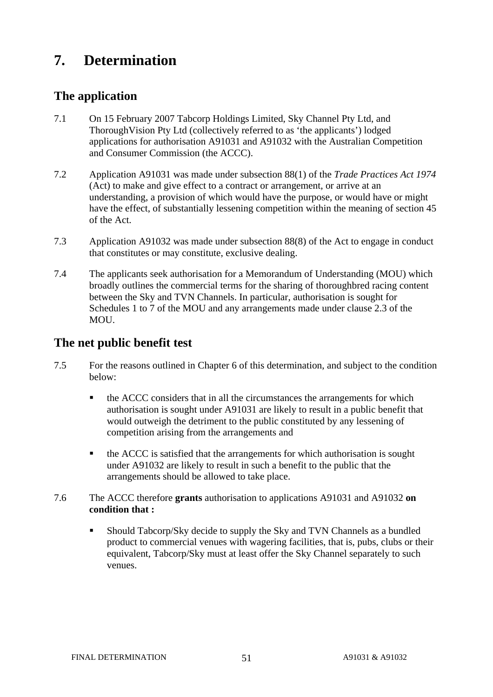# **7. Determination**

### **The application**

- 7.1 On 15 February 2007 Tabcorp Holdings Limited, Sky Channel Pty Ltd, and ThoroughVision Pty Ltd (collectively referred to as 'the applicants') lodged applications for authorisation A91031 and A91032 with the Australian Competition and Consumer Commission (the ACCC).
- 7.2 Application A91031 was made under subsection 88(1) of the *Trade Practices Act 1974*  (Act) to make and give effect to a contract or arrangement, or arrive at an understanding, a provision of which would have the purpose, or would have or might have the effect, of substantially lessening competition within the meaning of section 45 of the Act.
- 7.3 Application A91032 was made under subsection 88(8) of the Act to engage in conduct that constitutes or may constitute, exclusive dealing.
- 7.4 The applicants seek authorisation for a Memorandum of Understanding (MOU) which broadly outlines the commercial terms for the sharing of thoroughbred racing content between the Sky and TVN Channels. In particular, authorisation is sought for Schedules 1 to 7 of the MOU and any arrangements made under clause 2.3 of the MOU.

### **The net public benefit test**

- 7.5 For the reasons outlined in Chapter 6 of this determination, and subject to the condition below:
	- the ACCC considers that in all the circumstances the arrangements for which authorisation is sought under A91031 are likely to result in a public benefit that would outweigh the detriment to the public constituted by any lessening of competition arising from the arrangements and
	- the ACCC is satisfied that the arrangements for which authorisation is sought under A91032 are likely to result in such a benefit to the public that the arrangements should be allowed to take place.
- 7.6 The ACCC therefore **grants** authorisation to applications A91031 and A91032 **on condition that :**
	- Should Tabcorp/Sky decide to supply the Sky and TVN Channels as a bundled product to commercial venues with wagering facilities, that is, pubs, clubs or their equivalent, Tabcorp/Sky must at least offer the Sky Channel separately to such venues.